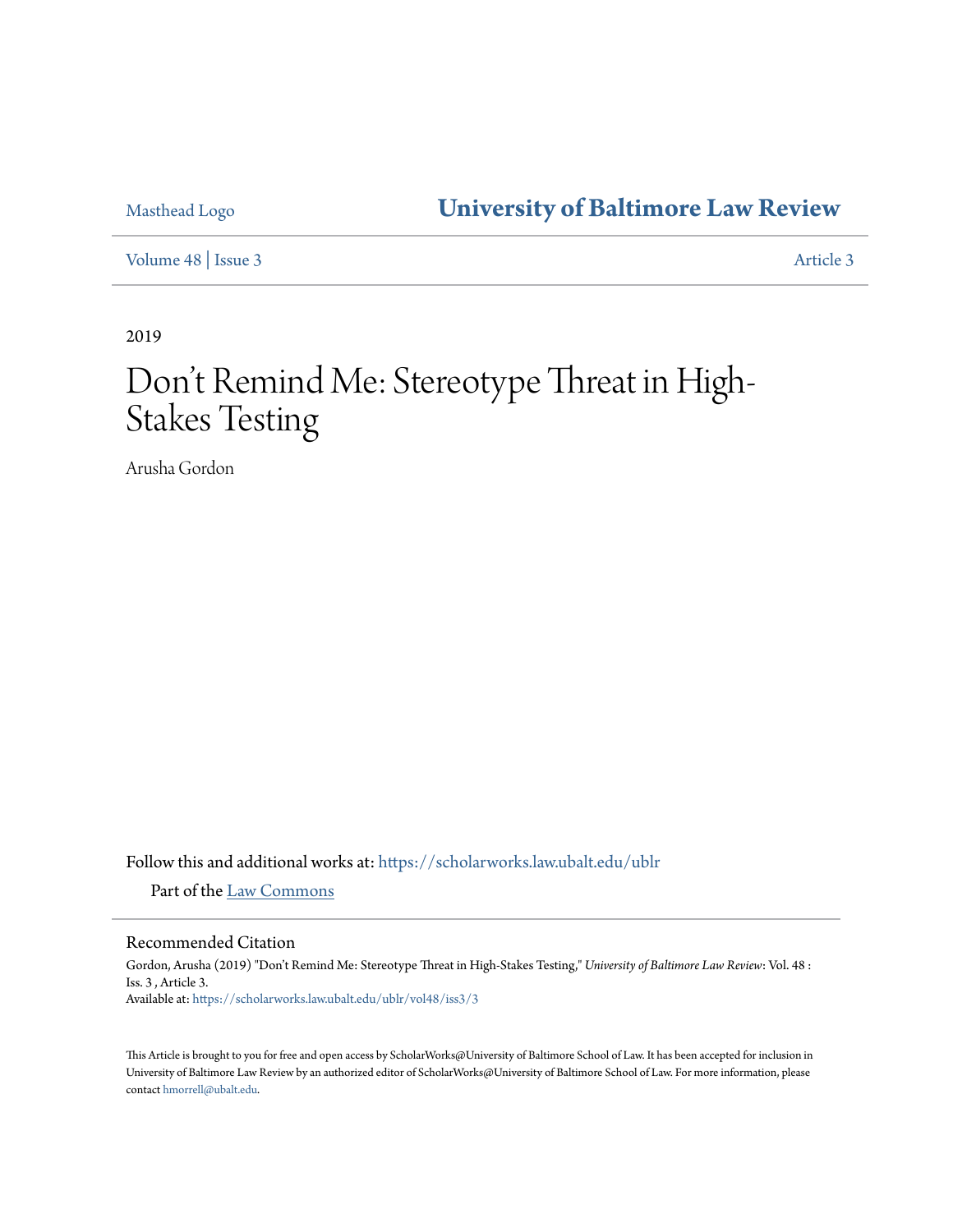## Masthead Logo **[University of Baltimore Law Review](https://scholarworks.law.ubalt.edu/ublr?utm_source=scholarworks.law.ubalt.edu%2Fublr%2Fvol48%2Fiss3%2F3&utm_medium=PDF&utm_campaign=PDFCoverPages)**

[Volume 48](https://scholarworks.law.ubalt.edu/ublr/vol48?utm_source=scholarworks.law.ubalt.edu%2Fublr%2Fvol48%2Fiss3%2F3&utm_medium=PDF&utm_campaign=PDFCoverPages) | [Issue 3](https://scholarworks.law.ubalt.edu/ublr/vol48/iss3?utm_source=scholarworks.law.ubalt.edu%2Fublr%2Fvol48%2Fiss3%2F3&utm_medium=PDF&utm_campaign=PDFCoverPages) [Article 3](https://scholarworks.law.ubalt.edu/ublr/vol48/iss3/3?utm_source=scholarworks.law.ubalt.edu%2Fublr%2Fvol48%2Fiss3%2F3&utm_medium=PDF&utm_campaign=PDFCoverPages)

2019

# Don 't Remind Me: Stereotype Threat in High-Stakes Testing

Arusha Gordon

Follow this and additional works at: [https://scholarworks.law.ubalt.edu/ublr](https://scholarworks.law.ubalt.edu/ublr?utm_source=scholarworks.law.ubalt.edu%2Fublr%2Fvol48%2Fiss3%2F3&utm_medium=PDF&utm_campaign=PDFCoverPages)

Part of the [Law Commons](http://network.bepress.com/hgg/discipline/578?utm_source=scholarworks.law.ubalt.edu%2Fublr%2Fvol48%2Fiss3%2F3&utm_medium=PDF&utm_campaign=PDFCoverPages)

#### Recommended Citation

Gordon, Arusha (2019) "Don't Remind Me: Stereotype Threat in High-Stakes Testing," *University of Baltimore Law Review*: Vol. 48 : Iss. 3 , Article 3. Available at: [https://scholarworks.law.ubalt.edu/ublr/vol48/iss3/3](https://scholarworks.law.ubalt.edu/ublr/vol48/iss3/3?utm_source=scholarworks.law.ubalt.edu%2Fublr%2Fvol48%2Fiss3%2F3&utm_medium=PDF&utm_campaign=PDFCoverPages)

This Article is brought to you for free and open access by ScholarWorks@University of Baltimore School of Law. It has been accepted for inclusion in University of Baltimore Law Review by an authorized editor of ScholarWorks@University of Baltimore School of Law. For more information, please contact [hmorrell@ubalt.edu](mailto:hmorrell@ubalt.edu).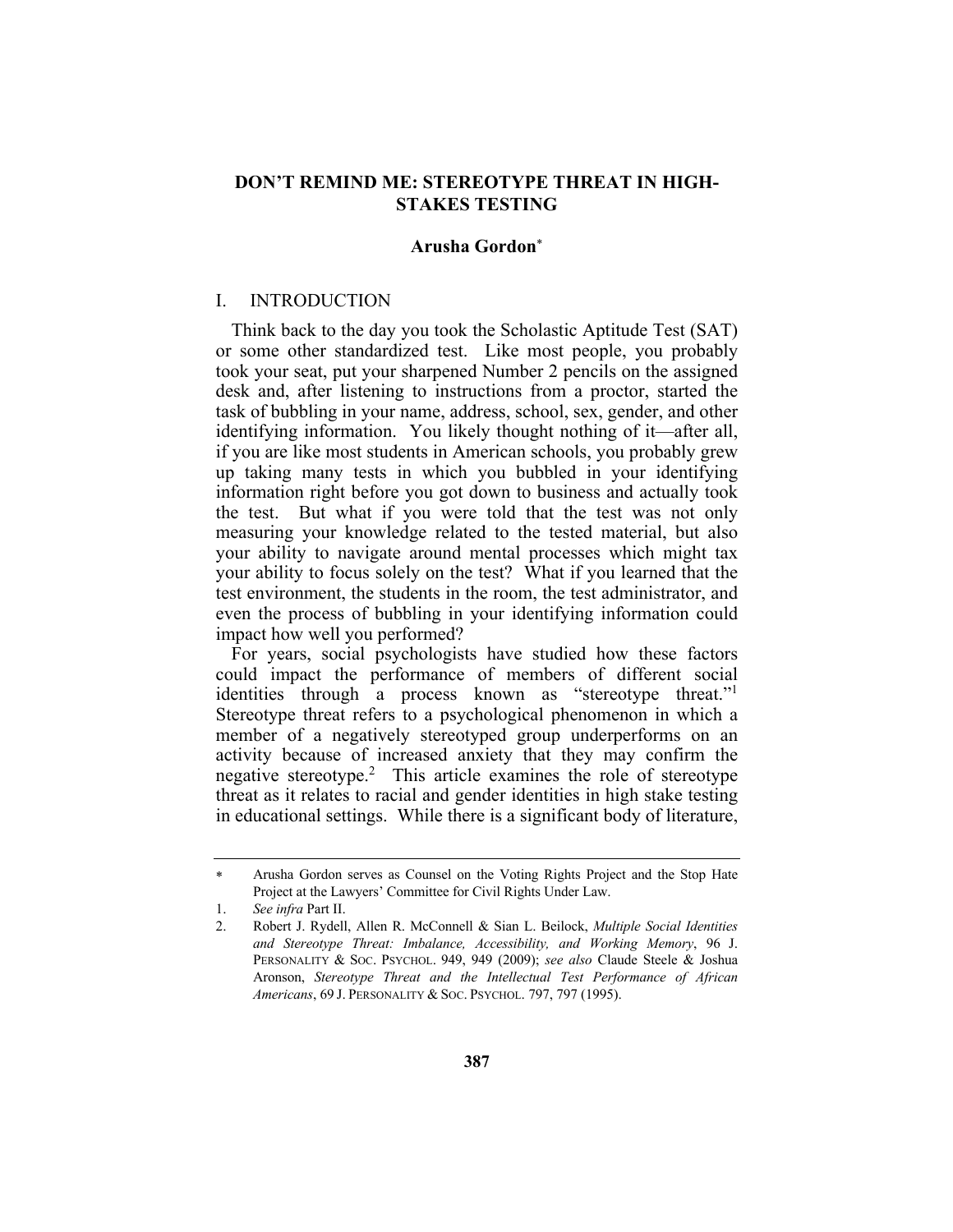#### **DON'T REMIND ME: STEREOTYPE THREAT IN HIGH-STAKES TESTING**

#### **Arusha Gordon**\*

#### I. INTRODUCTION

Think back to the day you took the Scholastic Aptitude Test (SAT) or some other standardized test. Like most people, you probably took your seat, put your sharpened Number 2 pencils on the assigned desk and, after listening to instructions from a proctor, started the task of bubbling in your name, address, school, sex, gender, and other identifying information. You likely thought nothing of it—after all, if you are like most students in American schools, you probably grew up taking many tests in which you bubbled in your identifying information right before you got down to business and actually took the test. But what if you were told that the test was not only measuring your knowledge related to the tested material, but also your ability to navigate around mental processes which might tax your ability to focus solely on the test? What if you learned that the test environment, the students in the room, the test administrator, and even the process of bubbling in your identifying information could impact how well you performed?

For years, social psychologists have studied how these factors could impact the performance of members of different social identities through a process known as "stereotype threat."1 Stereotype threat refers to a psychological phenomenon in which a member of a negatively stereotyped group underperforms on an activity because of increased anxiety that they may confirm the negative stereotype.2 This article examines the role of stereotype threat as it relates to racial and gender identities in high stake testing in educational settings. While there is a significant body of literature,

Arusha Gordon serves as Counsel on the Voting Rights Project and the Stop Hate Project at the Lawyers' Committee for Civil Rights Under Law.

<sup>1.</sup> *See infra* Part II.

<sup>2.</sup> Robert J. Rydell, Allen R. McConnell & Sian L. Beilock, *Multiple Social Identities and Stereotype Threat: Imbalance, Accessibility, and Working Memory*, 96 J. PERSONALITY & SOC. PSYCHOL. 949, 949 (2009); *see also* Claude Steele & Joshua Aronson, *Stereotype Threat and the Intellectual Test Performance of African Americans*, 69 J. PERSONALITY & SOC. PSYCHOL. 797, 797 (1995).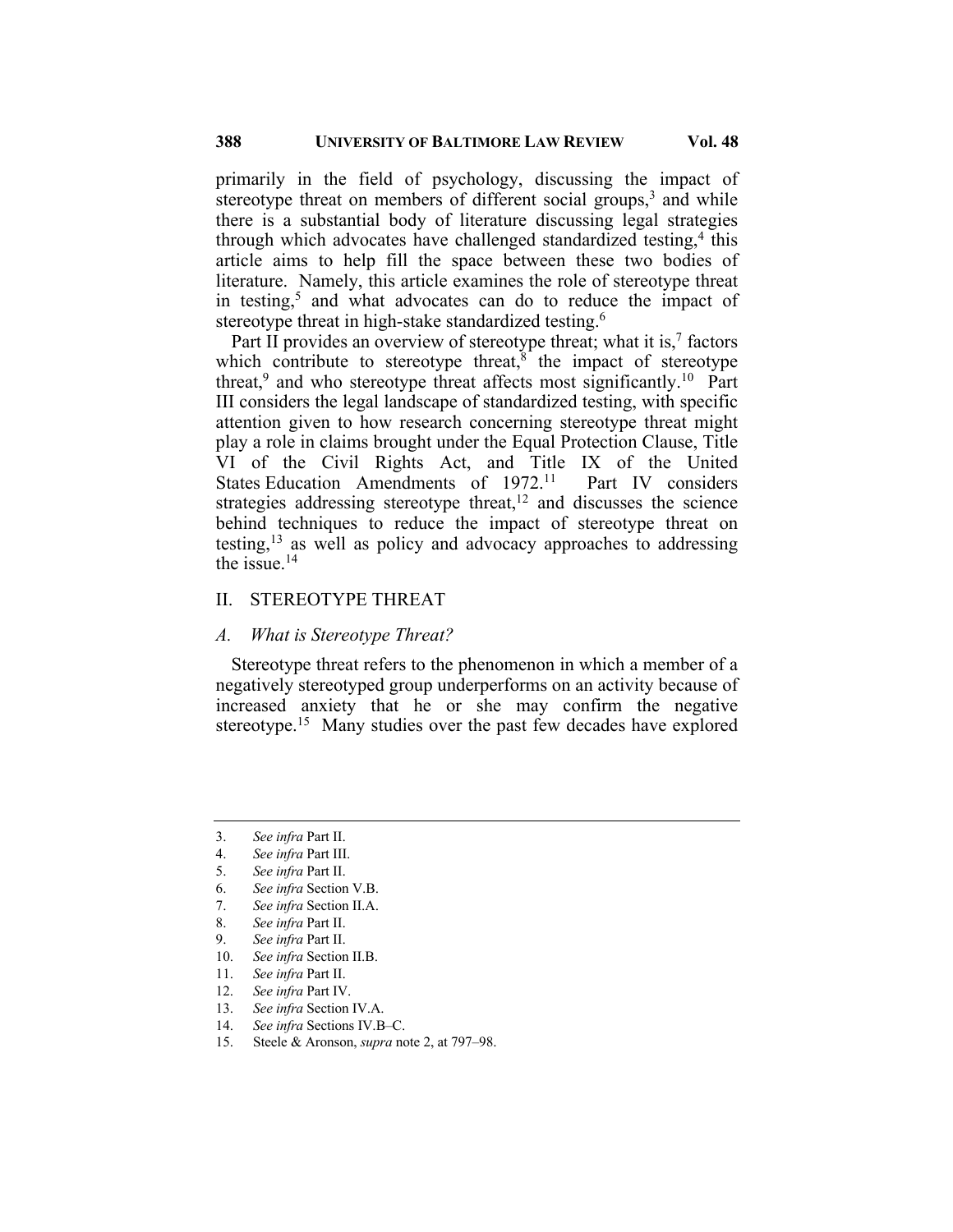primarily in the field of psychology, discussing the impact of stereotype threat on members of different social groups, $3$  and while there is a substantial body of literature discussing legal strategies through which advocates have challenged standardized testing, $4$  this article aims to help fill the space between these two bodies of literature. Namely, this article examines the role of stereotype threat in testing,<sup>5</sup> and what advocates can do to reduce the impact of stereotype threat in high-stake standardized testing.<sup>6</sup>

Part II provides an overview of stereotype threat; what it is, $<sup>7</sup>$  factors</sup> which contribute to stereotype threat, $\delta$  the impact of stereotype threat,<sup>9</sup> and who stereotype threat affects most significantly.<sup>10</sup> Part III considers the legal landscape of standardized testing, with specific attention given to how research concerning stereotype threat might play a role in claims brought under the Equal Protection Clause, Title VI of the Civil Rights Act, and Title IX of the United States Education Amendments of 1972.<sup>11</sup> Part IV considers strategies addressing stereotype threat,<sup>12</sup> and discusses the science behind techniques to reduce the impact of stereotype threat on testing,  $13$  as well as policy and advocacy approaches to addressing the issue. $14$ 

#### II. STEREOTYPE THREAT

#### *A. What is Stereotype Threat?*

Stereotype threat refers to the phenomenon in which a member of a negatively stereotyped group underperforms on an activity because of increased anxiety that he or she may confirm the negative stereotype.<sup>15</sup> Many studies over the past few decades have explored

<sup>3.</sup> *See infra* Part II.

<sup>4.</sup> *See infra* Part III.

<sup>5.</sup> *See infra* Part II.

<sup>6.</sup> *See infra* Section V.B.

<sup>7.</sup> *See infra* Section II.A.

<sup>8.</sup> *See infra* Part II.

<sup>9.</sup> *See infra* Part II.

<sup>10.</sup> *See infra* Section II.B.

<sup>11.</sup> *See infra* Part II.

<sup>12.</sup> *See infra* Part IV.

<sup>13.</sup> *See infra* Section IV.A.

<sup>14.</sup> *See infra* Sections IV.B–C.

<sup>15.</sup> Steele & Aronson, *supra* note 2, at 797–98.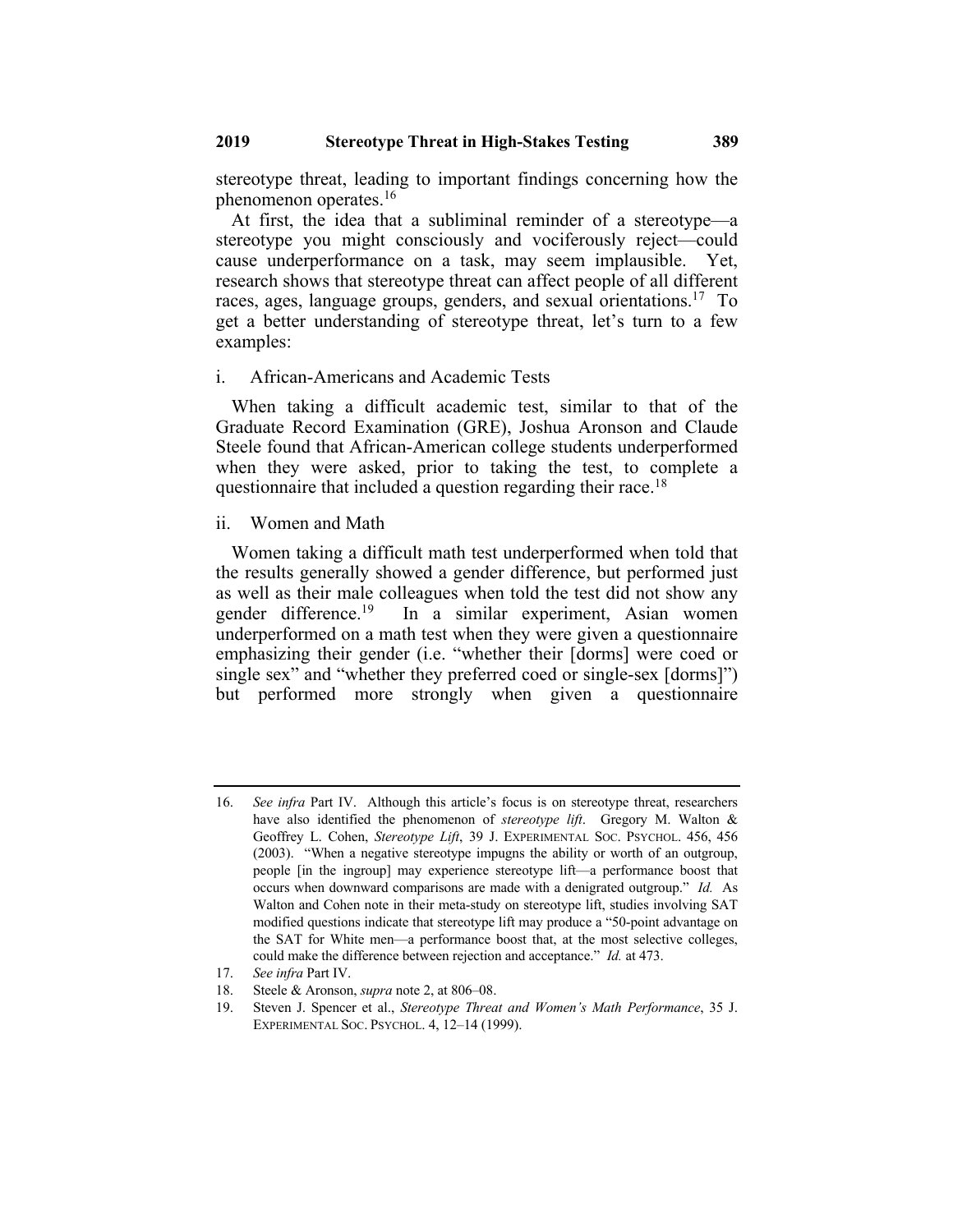stereotype threat, leading to important findings concerning how the phenomenon operates.16

At first, the idea that a subliminal reminder of a stereotype—a stereotype you might consciously and vociferously reject—could cause underperformance on a task, may seem implausible. Yet, research shows that stereotype threat can affect people of all different races, ages, language groups, genders, and sexual orientations.17 To get a better understanding of stereotype threat, let's turn to a few examples:

#### i. African-Americans and Academic Tests

When taking a difficult academic test, similar to that of the Graduate Record Examination (GRE), Joshua Aronson and Claude Steele found that African-American college students underperformed when they were asked, prior to taking the test, to complete a questionnaire that included a question regarding their race.<sup>18</sup>

#### ii. Women and Math

Women taking a difficult math test underperformed when told that the results generally showed a gender difference, but performed just as well as their male colleagues when told the test did not show any gender difference.<sup>19</sup> In a similar experiment, Asian women underperformed on a math test when they were given a questionnaire emphasizing their gender (i.e. "whether their [dorms] were coed or single sex" and "whether they preferred coed or single-sex [dorms]") but performed more strongly when given a questionnaire

<sup>16.</sup> *See infra* Part IV. Although this article's focus is on stereotype threat, researchers have also identified the phenomenon of *stereotype lift*.Gregory M. Walton & Geoffrey L. Cohen, *Stereotype Lift*, 39 J. EXPERIMENTAL SOC. PSYCHOL. 456, 456 (2003). "When a negative stereotype impugns the ability or worth of an outgroup, people [in the ingroup] may experience stereotype lift—a performance boost that occurs when downward comparisons are made with a denigrated outgroup." *Id.* As Walton and Cohen note in their meta-study on stereotype lift, studies involving SAT modified questions indicate that stereotype lift may produce a "50-point advantage on the SAT for White men—a performance boost that, at the most selective colleges, could make the difference between rejection and acceptance." *Id.* at 473.

<sup>17.</sup> *See infra* Part IV.

<sup>18.</sup> Steele & Aronson, *supra* note 2, at 806–08.

<sup>19.</sup> Steven J. Spencer et al., *Stereotype Threat and Women's Math Performance*, 35 J. EXPERIMENTAL SOC. PSYCHOL. 4, 12–14 (1999).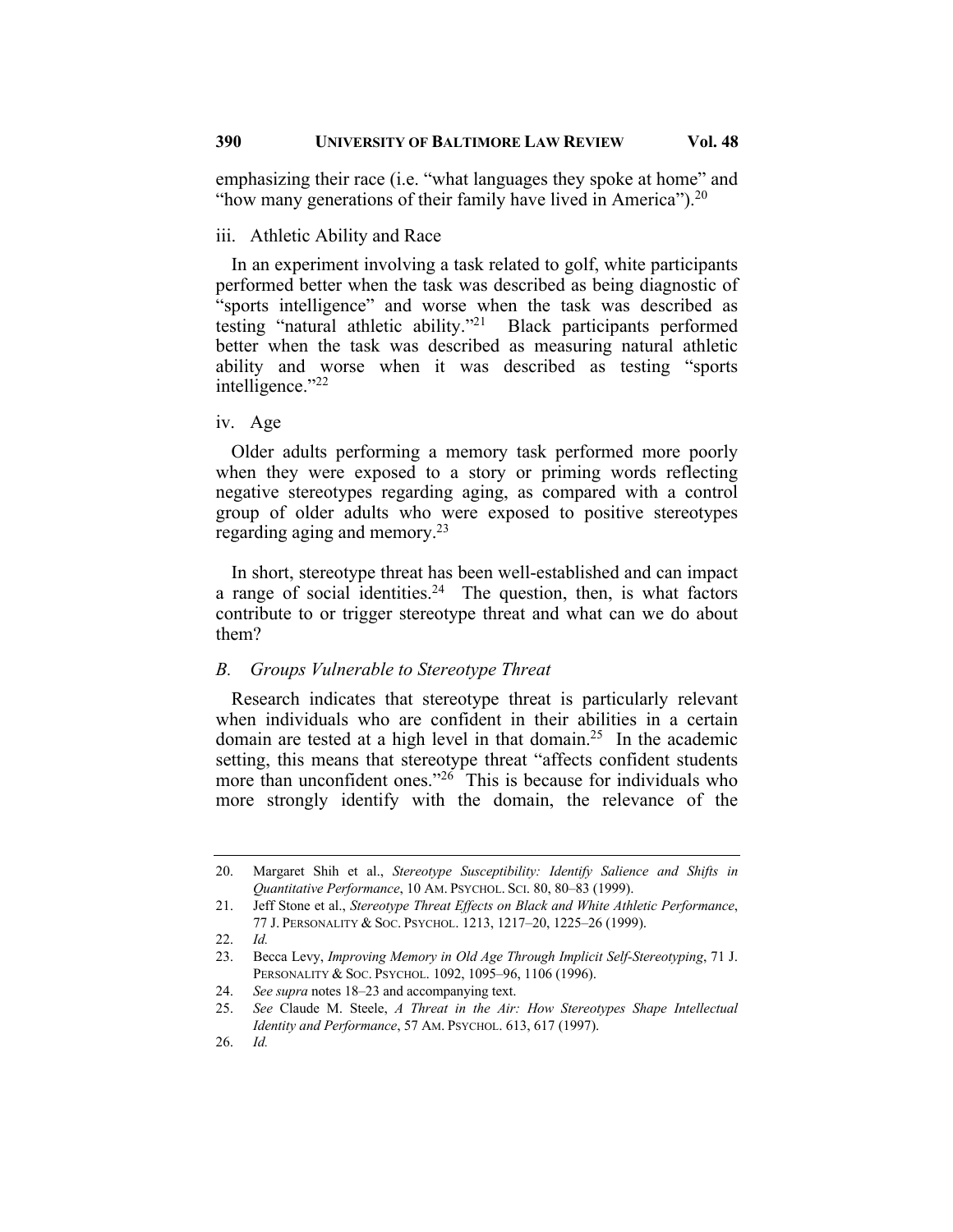emphasizing their race (i.e. "what languages they spoke at home" and "how many generations of their family have lived in America").<sup>20</sup>

#### iii. Athletic Ability and Race

In an experiment involving a task related to golf, white participants performed better when the task was described as being diagnostic of "sports intelligence" and worse when the task was described as testing "natural athletic ability."21 Black participants performed better when the task was described as measuring natural athletic ability and worse when it was described as testing "sports intelligence."22

#### iv. Age

Older adults performing a memory task performed more poorly when they were exposed to a story or priming words reflecting negative stereotypes regarding aging, as compared with a control group of older adults who were exposed to positive stereotypes regarding aging and memory.23

In short, stereotype threat has been well-established and can impact a range of social identities.<sup>24</sup> The question, then, is what factors contribute to or trigger stereotype threat and what can we do about them?

#### *B. Groups Vulnerable to Stereotype Threat*

Research indicates that stereotype threat is particularly relevant when individuals who are confident in their abilities in a certain domain are tested at a high level in that domain.<sup>25</sup> In the academic setting, this means that stereotype threat "affects confident students more than unconfident ones."<sup>26</sup> This is because for individuals who more strongly identify with the domain, the relevance of the

22. *Id.*

<sup>20.</sup> Margaret Shih et al., *Stereotype Susceptibility: Identify Salience and Shifts in Quantitative Performance*, 10 AM. PSYCHOL. SCI. 80, 80–83 (1999).

<sup>21.</sup> Jeff Stone et al., *Stereotype Threat Effects on Black and White Athletic Performance*, 77 J. PERSONALITY & SOC. PSYCHOL. 1213, 1217–20, 1225–26 (1999).

<sup>23.</sup> Becca Levy, *Improving Memory in Old Age Through Implicit Self-Stereotyping*, 71 J. PERSONALITY & SOC. PSYCHOL. 1092, 1095–96, 1106 (1996).

<sup>24.</sup> *See supra* notes 18–23 and accompanying text.

<sup>25.</sup> *See* Claude M. Steele, *A Threat in the Air: How Stereotypes Shape Intellectual Identity and Performance*, 57 AM. PSYCHOL. 613, 617 (1997).

<sup>26.</sup> *Id.*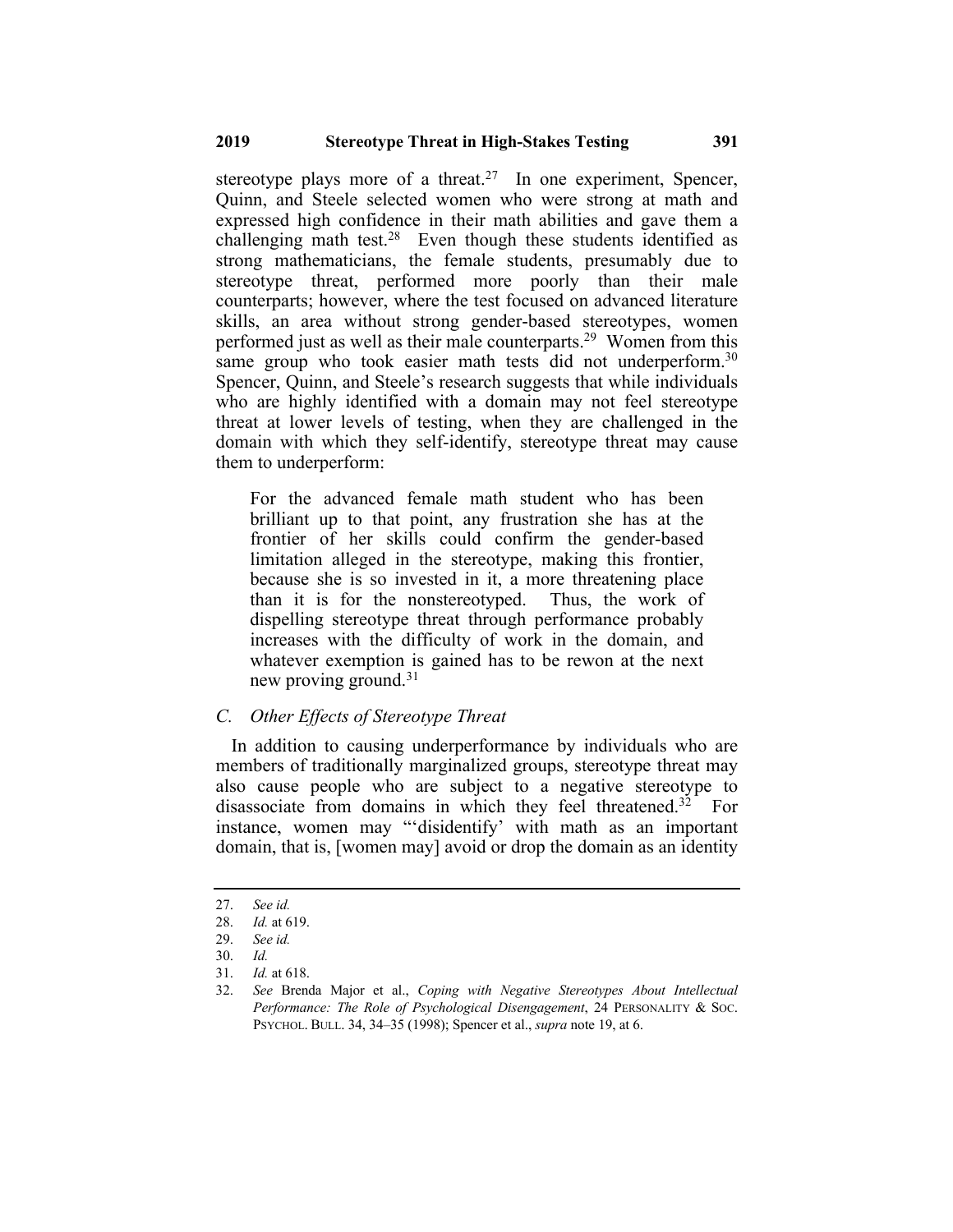stereotype plays more of a threat.<sup>27</sup> In one experiment, Spencer, Quinn, and Steele selected women who were strong at math and expressed high confidence in their math abilities and gave them a challenging math test.<sup>28</sup> Even though these students identified as strong mathematicians, the female students, presumably due to stereotype threat, performed more poorly than their male counterparts; however, where the test focused on advanced literature skills, an area without strong gender-based stereotypes, women performed just as well as their male counterparts.<sup>29</sup> Women from this same group who took easier math tests did not underperform.<sup>30</sup> Spencer, Quinn, and Steele's research suggests that while individuals who are highly identified with a domain may not feel stereotype threat at lower levels of testing, when they are challenged in the domain with which they self-identify, stereotype threat may cause them to underperform:

For the advanced female math student who has been brilliant up to that point, any frustration she has at the frontier of her skills could confirm the gender-based limitation alleged in the stereotype, making this frontier, because she is so invested in it, a more threatening place than it is for the nonstereotyped. Thus, the work of dispelling stereotype threat through performance probably increases with the difficulty of work in the domain, and whatever exemption is gained has to be rewon at the next new proving ground.<sup>31</sup>

#### *C. Other Effects of Stereotype Threat*

In addition to causing underperformance by individuals who are members of traditionally marginalized groups, stereotype threat may also cause people who are subject to a negative stereotype to disassociate from domains in which they feel threatened.<sup>32</sup> For instance, women may "'disidentify' with math as an important domain, that is, [women may] avoid or drop the domain as an identity

<sup>27.</sup> *See id.*

<sup>28.</sup> *Id.* at 619.

<sup>29.</sup> *See id.*

<sup>30.</sup> *Id.*

<sup>31.</sup> *Id.* at 618.

<sup>32.</sup> *See* Brenda Major et al., *Coping with Negative Stereotypes About Intellectual Performance: The Role of Psychological Disengagement*, 24 PERSONALITY & SOC. PSYCHOL. BULL. 34, 34–35 (1998); Spencer et al., *supra* note 19, at 6.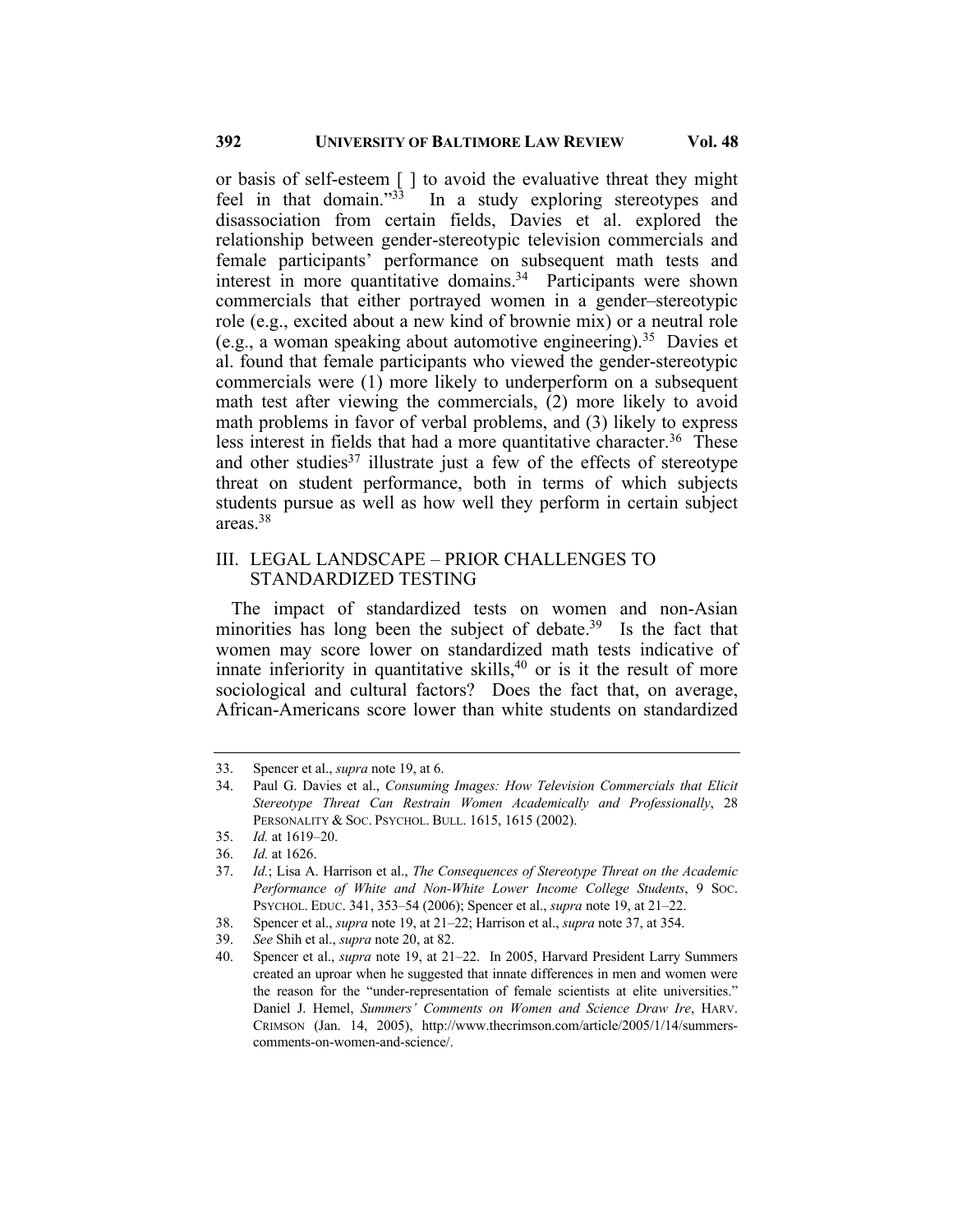or basis of self-esteem [ ] to avoid the evaluative threat they might feel in that domain."33 In a study exploring stereotypes and disassociation from certain fields, Davies et al. explored the relationship between gender-stereotypic television commercials and female participants' performance on subsequent math tests and interest in more quantitative domains.<sup>34</sup> Participants were shown commercials that either portrayed women in a gender–stereotypic role (e.g., excited about a new kind of brownie mix) or a neutral role (e.g., a woman speaking about automotive engineering).<sup>35</sup> Davies et al. found that female participants who viewed the gender-stereotypic commercials were (1) more likely to underperform on a subsequent math test after viewing the commercials, (2) more likely to avoid math problems in favor of verbal problems, and (3) likely to express less interest in fields that had a more quantitative character.<sup>36</sup> These and other studies<sup>37</sup> illustrate just a few of the effects of stereotype threat on student performance, both in terms of which subjects students pursue as well as how well they perform in certain subject areas.38

#### III. LEGAL LANDSCAPE – PRIOR CHALLENGES TO STANDARDIZED TESTING

The impact of standardized tests on women and non-Asian minorities has long been the subject of debate.<sup>39</sup> Is the fact that women may score lower on standardized math tests indicative of innate inferiority in quantitative skills, <sup>40</sup> or is it the result of more sociological and cultural factors? Does the fact that, on average, African-Americans score lower than white students on standardized

<sup>33.</sup> Spencer et al., *supra* note 19, at 6.

<sup>34.</sup> Paul G. Davies et al., *Consuming Images: How Television Commercials that Elicit Stereotype Threat Can Restrain Women Academically and Professionally*, 28 PERSONALITY & SOC. PSYCHOL. BULL. 1615, 1615 (2002).

<sup>35.</sup> *Id.* at 1619–20.

<sup>36.</sup> *Id.* at 1626.

<sup>37.</sup> *Id.*; Lisa A. Harrison et al., *The Consequences of Stereotype Threat on the Academic Performance of White and Non-White Lower Income College Students*, 9 SOC. PSYCHOL. EDUC. 341, 353–54 (2006); Spencer et al., *supra* note 19, at 21–22.

<sup>38.</sup> Spencer et al., *supra* note 19, at 21–22; Harrison et al., *supra* note 37, at 354.

<sup>39.</sup> *See* Shih et al., *supra* note 20, at 82.

<sup>40.</sup> Spencer et al., *supra* note 19, at 21–22. In 2005, Harvard President Larry Summers created an uproar when he suggested that innate differences in men and women were the reason for the "under-representation of female scientists at elite universities." Daniel J. Hemel, *Summers' Comments on Women and Science Draw Ire*, HARV. CRIMSON (Jan. 14, 2005), http://www.thecrimson.com/article/2005/1/14/summerscomments-on-women-and-science/.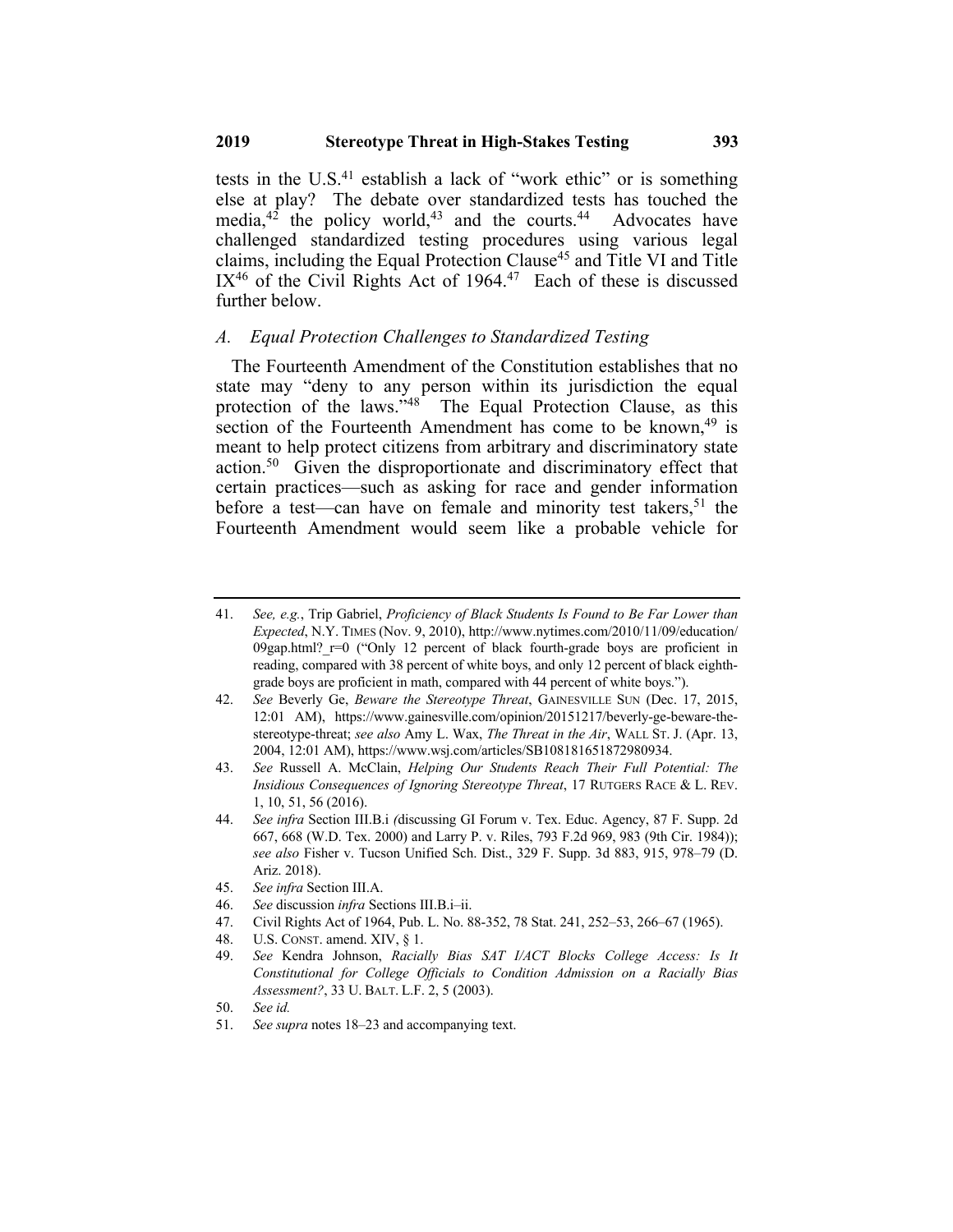tests in the U.S. $41$  establish a lack of "work ethic" or is something else at play? The debate over standardized tests has touched the media, $4^2$  the policy world, $4^3$  and the courts. $4^4$  Advocates have challenged standardized testing procedures using various legal claims, including the Equal Protection Clause<sup>45</sup> and Title VI and Title  $IX<sup>46</sup>$  of the Civil Rights Act of 1964.<sup>47</sup> Each of these is discussed further below.

#### *A. Equal Protection Challenges to Standardized Testing*

The Fourteenth Amendment of the Constitution establishes that no state may "deny to any person within its jurisdiction the equal protection of the laws."<sup>48</sup> The Equal Protection Clause, as this section of the Fourteenth Amendment has come to be known,  $49$  is meant to help protect citizens from arbitrary and discriminatory state action.50 Given the disproportionate and discriminatory effect that certain practices—such as asking for race and gender information before a test—can have on female and minority test takers,<sup>51</sup> the Fourteenth Amendment would seem like a probable vehicle for

48. U.S. CONST. amend. XIV, § 1.

<sup>41.</sup> *See, e.g.*, Trip Gabriel, *Proficiency of Black Students Is Found to Be Far Lower than Expected*, N.Y. TIMES (Nov. 9, 2010), http://www.nytimes.com/2010/11/09/education/ 09gap.html?  $r=0$  ("Only 12 percent of black fourth-grade boys are proficient in reading, compared with 38 percent of white boys, and only 12 percent of black eighthgrade boys are proficient in math, compared with 44 percent of white boys.").

<sup>42.</sup> *See* Beverly Ge, *Beware the Stereotype Threat*, GAINESVILLE SUN (Dec. 17, 2015, 12:01 AM), https://www.gainesville.com/opinion/20151217/beverly-ge-beware-thestereotype-threat; *see also* Amy L. Wax, *The Threat in the Air*, WALL ST. J. (Apr. 13, 2004, 12:01 AM), https://www.wsj.com/articles/SB108181651872980934.

<sup>43.</sup> *See* Russell A. McClain, *Helping Our Students Reach Their Full Potential: The Insidious Consequences of Ignoring Stereotype Threat*, 17 RUTGERS RACE & L. REV. 1, 10, 51, 56 (2016).

<sup>44.</sup> *See infra* Section III.B.i *(*discussing GI Forum v. Tex. Educ. Agency, 87 F. Supp. 2d 667, 668 (W.D. Tex. 2000) and Larry P. v. Riles, 793 F.2d 969, 983 (9th Cir. 1984)); *see also* Fisher v. Tucson Unified Sch. Dist., 329 F. Supp. 3d 883, 915, 978–79 (D. Ariz. 2018).

<sup>45.</sup> *See infra* Section III.A.

<sup>46.</sup> *See* discussion *infra* Sections III.B.i–ii.

<sup>47.</sup> Civil Rights Act of 1964, Pub. L. No. 88-352, 78 Stat. 241, 252–53, 266–67 (1965).

<sup>49.</sup> *See* Kendra Johnson, *Racially Bias SAT I/ACT Blocks College Access: Is It Constitutional for College Officials to Condition Admission on a Racially Bias Assessment?*, 33 U. BALT. L.F. 2, 5 (2003).

<sup>50.</sup> *See id.*

<sup>51.</sup> *See supra* notes 18–23 and accompanying text.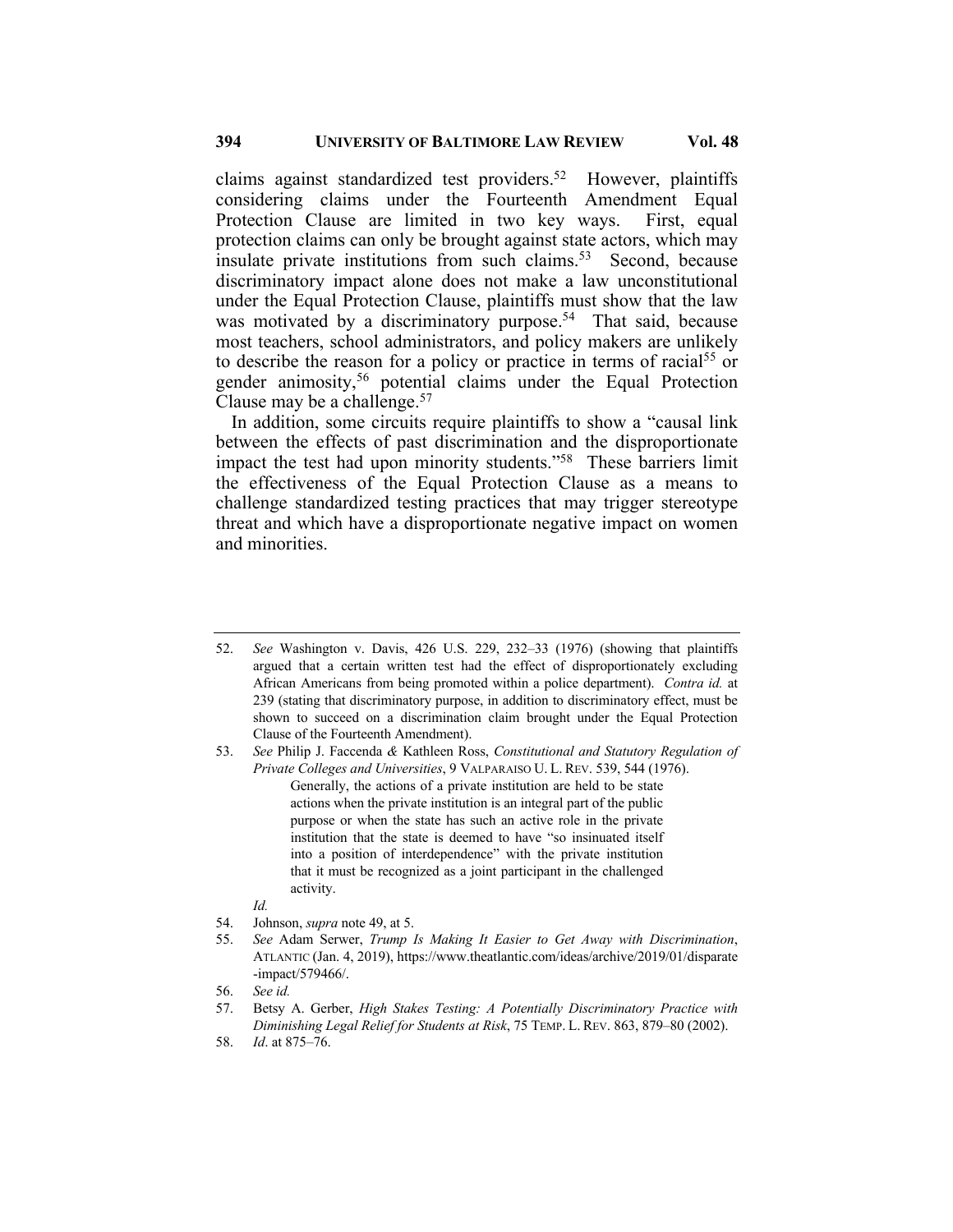claims against standardized test providers.52 However, plaintiffs considering claims under the Fourteenth Amendment Equal Protection Clause are limited in two key ways. First, equal protection claims can only be brought against state actors, which may insulate private institutions from such claims.<sup>53</sup> Second, because discriminatory impact alone does not make a law unconstitutional under the Equal Protection Clause, plaintiffs must show that the law was motivated by a discriminatory purpose.<sup>54</sup> That said, because most teachers, school administrators, and policy makers are unlikely to describe the reason for a policy or practice in terms of racial<sup>55</sup> or gender animosity,<sup>56</sup> potential claims under the Equal Protection Clause may be a challenge.<sup>57</sup>

In addition, some circuits require plaintiffs to show a "causal link between the effects of past discrimination and the disproportionate impact the test had upon minority students."58 These barriers limit the effectiveness of the Equal Protection Clause as a means to challenge standardized testing practices that may trigger stereotype threat and which have a disproportionate negative impact on women and minorities.

53. *See* Philip J. Faccenda *&* Kathleen Ross, *Constitutional and Statutory Regulation of Private Colleges and Universities*, 9 VALPARAISO U. L. REV. 539, 544 (1976). Generally, the actions of a private institution are held to be state actions when the private institution is an integral part of the public purpose or when the state has such an active role in the private institution that the state is deemed to have "so insinuated itself into a position of interdependence" with the private institution that it must be recognized as a joint participant in the challenged activity.

*Id.*

56. *See id.*

<sup>52.</sup> *See* Washington v. Davis, 426 U.S. 229, 232–33 (1976) (showing that plaintiffs argued that a certain written test had the effect of disproportionately excluding African Americans from being promoted within a police department). *Contra id.* at 239 (stating that discriminatory purpose, in addition to discriminatory effect, must be shown to succeed on a discrimination claim brought under the Equal Protection Clause of the Fourteenth Amendment).

<sup>54.</sup> Johnson, *supra* note 49, at 5.

<sup>55.</sup> *See* Adam Serwer, *Trump Is Making It Easier to Get Away with Discrimination*, ATLANTIC (Jan. 4, 2019), https://www.theatlantic.com/ideas/archive/2019/01/disparate -impact/579466/.

<sup>57.</sup> Betsy A. Gerber, *High Stakes Testing: A Potentially Discriminatory Practice with Diminishing Legal Relief for Students at Risk*, 75 TEMP. L. REV. 863, 879–80 (2002).

<sup>58.</sup> *Id*. at 875–76.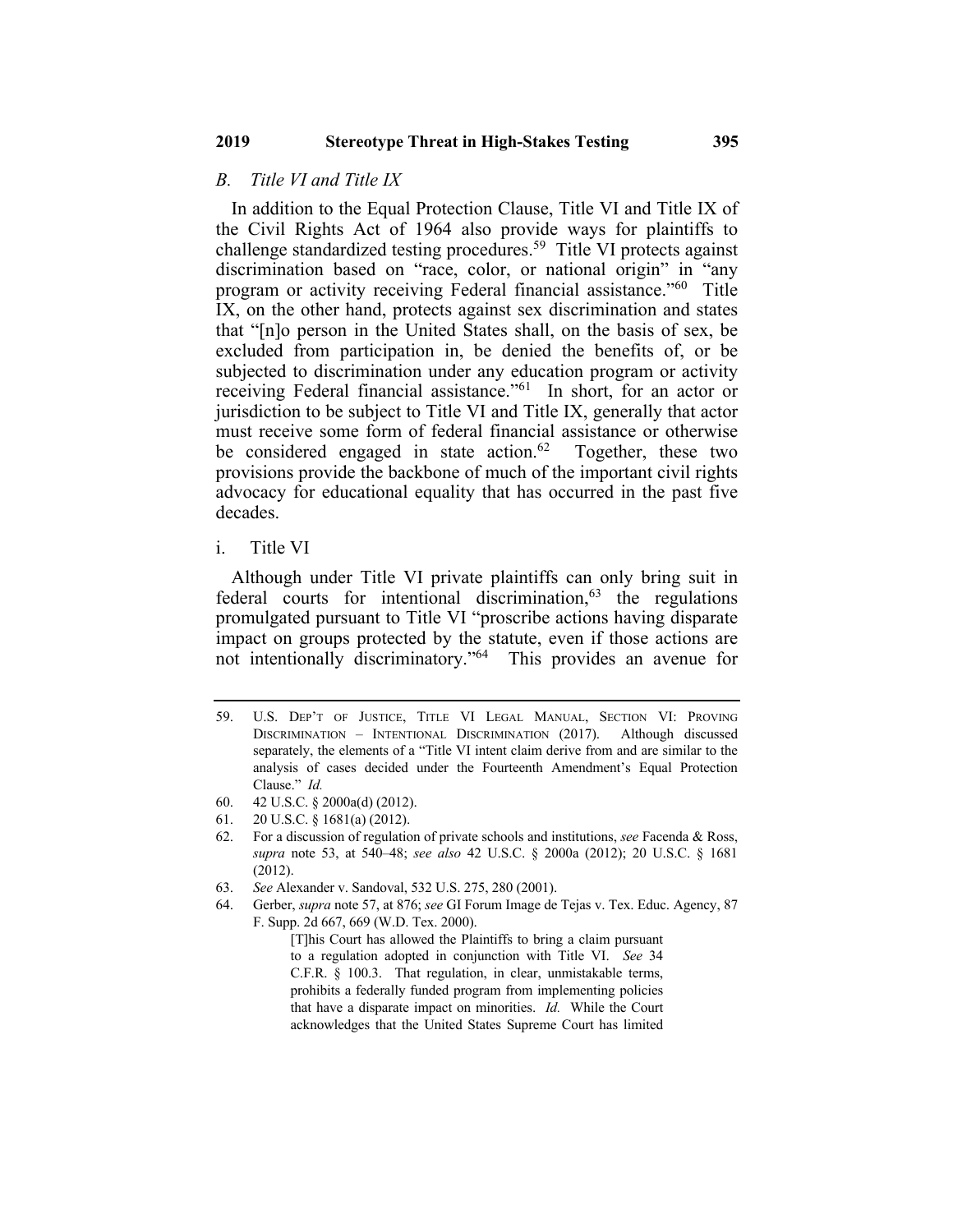#### *B. Title VI and Title IX*

In addition to the Equal Protection Clause, Title VI and Title IX of the Civil Rights Act of 1964 also provide ways for plaintiffs to challenge standardized testing procedures.<sup>59</sup> Title VI protects against discrimination based on "race, color, or national origin" in "any program or activity receiving Federal financial assistance."60 Title IX, on the other hand, protects against sex discrimination and states that "[n]o person in the United States shall, on the basis of sex, be excluded from participation in, be denied the benefits of, or be subjected to discrimination under any education program or activity receiving Federal financial assistance."61 In short, for an actor or jurisdiction to be subject to Title VI and Title IX, generally that actor must receive some form of federal financial assistance or otherwise be considered engaged in state action.<sup>62</sup> Together, these two provisions provide the backbone of much of the important civil rights advocacy for educational equality that has occurred in the past five decades.

### i. Title VI

Although under Title VI private plaintiffs can only bring suit in federal courts for intentional discrimination, $63$  the regulations promulgated pursuant to Title VI "proscribe actions having disparate impact on groups protected by the statute, even if those actions are not intentionally discriminatory."64 This provides an avenue for

<sup>59.</sup> U.S. DEP'T OF JUSTICE, TITLE VI LEGAL MANUAL, SECTION VI: PROVING DISCRIMINATION – INTENTIONAL DISCRIMINATION (2017). Although discussed separately, the elements of a "Title VI intent claim derive from and are similar to the analysis of cases decided under the Fourteenth Amendment's Equal Protection Clause." *Id.*

<sup>60.</sup> 42 U.S.C. § 2000a(d) (2012).

<sup>61.</sup> 20 U.S.C. § 1681(a) (2012).

<sup>62.</sup> For a discussion of regulation of private schools and institutions, *see* Facenda & Ross, *supra* note 53, at 540–48; *see also* 42 U.S.C. § 2000a (2012); 20 U.S.C. § 1681 (2012).

<sup>63.</sup> *See* Alexander v. Sandoval, 532 U.S. 275, 280 (2001).

<sup>64.</sup> Gerber, *supra* note 57, at 876; *see* GI Forum Image de Tejas v. Tex. Educ. Agency, 87 F. Supp. 2d 667, 669 (W.D. Tex. 2000).

<sup>[</sup>T]his Court has allowed the Plaintiffs to bring a claim pursuant to a regulation adopted in conjunction with Title VI. *See* 34 C.F.R. § 100.3. That regulation, in clear, unmistakable terms, prohibits a federally funded program from implementing policies that have a disparate impact on minorities. *Id.* While the Court acknowledges that the United States Supreme Court has limited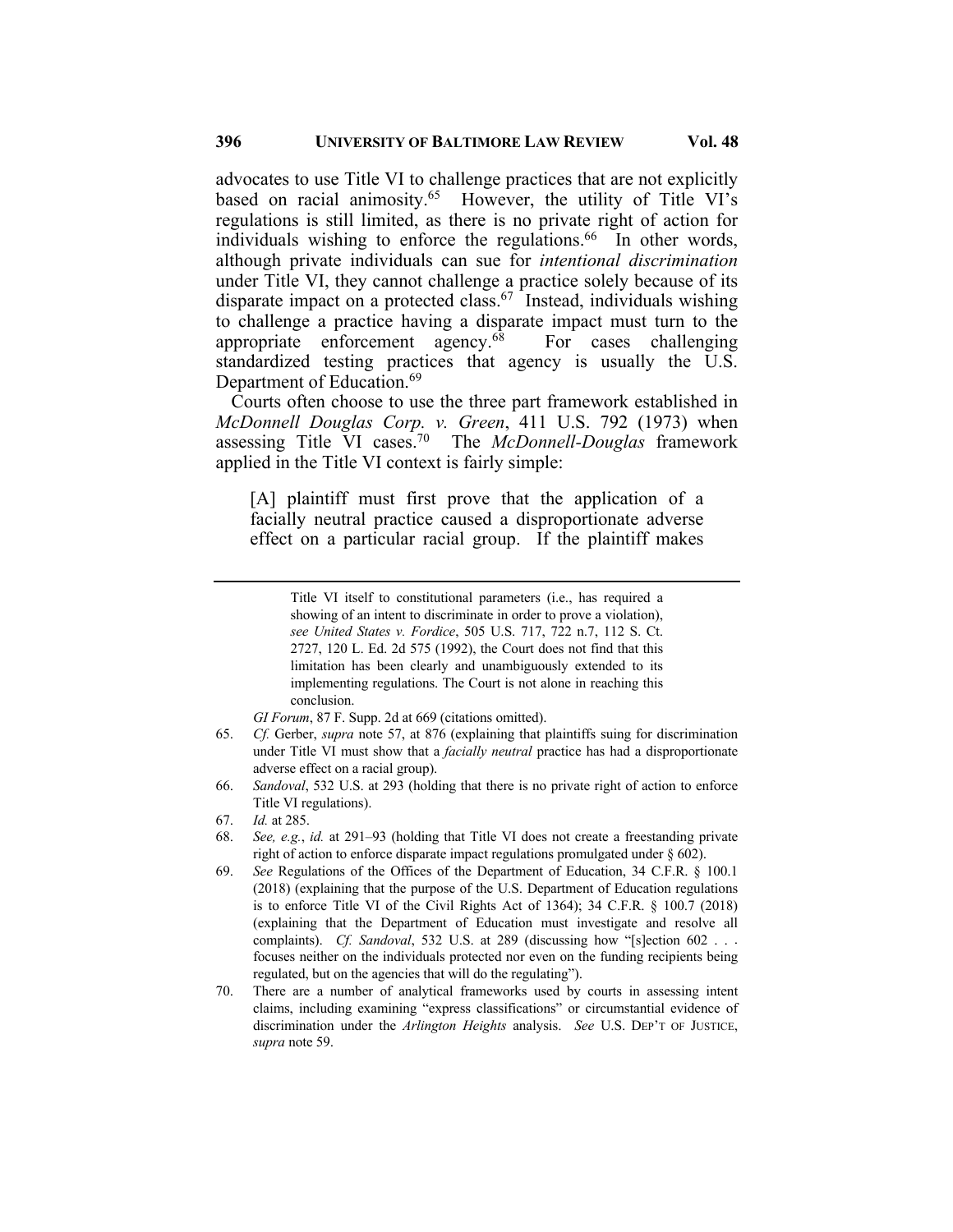advocates to use Title VI to challenge practices that are not explicitly based on racial animosity.<sup>65</sup> However, the utility of Title VI's regulations is still limited, as there is no private right of action for individuals wishing to enforce the regulations. $66$  In other words, although private individuals can sue for *intentional discrimination* under Title VI, they cannot challenge a practice solely because of its disparate impact on a protected class.<sup>67</sup> Instead, individuals wishing to challenge a practice having a disparate impact must turn to the appropriate enforcement agency. $68$  For cases challenging standardized testing practices that agency is usually the U.S. Department of Education.<sup>69</sup>

Courts often choose to use the three part framework established in *McDonnell Douglas Corp. v. Green*, 411 U.S. 792 (1973) when assessing Title VI cases.70 The *McDonnell-Douglas* framework applied in the Title VI context is fairly simple:

[A] plaintiff must first prove that the application of a facially neutral practice caused a disproportionate adverse effect on a particular racial group. If the plaintiff makes

- 65. *Cf.* Gerber, *supra* note 57, at 876 (explaining that plaintiffs suing for discrimination under Title VI must show that a *facially neutral* practice has had a disproportionate adverse effect on a racial group).
- 66. *Sandoval*, 532 U.S. at 293 (holding that there is no private right of action to enforce Title VI regulations).
- 67. *Id.* at 285.
- 68. *See, e.g.*, *id.* at 291–93 (holding that Title VI does not create a freestanding private right of action to enforce disparate impact regulations promulgated under § 602).
- 69. *See* Regulations of the Offices of the Department of Education, 34 C.F.R. § 100.1 (2018) (explaining that the purpose of the U.S. Department of Education regulations is to enforce Title VI of the Civil Rights Act of 1364); 34 C.F.R. § 100.7 (2018) (explaining that the Department of Education must investigate and resolve all complaints). *Cf. Sandoval*, 532 U.S. at 289 (discussing how "[s]ection 602 . . . focuses neither on the individuals protected nor even on the funding recipients being regulated, but on the agencies that will do the regulating").
- 70. There are a number of analytical frameworks used by courts in assessing intent claims, including examining "express classifications" or circumstantial evidence of discrimination under the *Arlington Heights* analysis. *See* U.S. DEP'T OF JUSTICE, *supra* note 59.

Title VI itself to constitutional parameters (i.e., has required a showing of an intent to discriminate in order to prove a violation), *see United States v. Fordice*, 505 U.S. 717, 722 n.7, 112 S. Ct. 2727, 120 L. Ed. 2d 575 (1992), the Court does not find that this limitation has been clearly and unambiguously extended to its implementing regulations. The Court is not alone in reaching this conclusion.

*GI Forum*, 87 F. Supp. 2d at 669 (citations omitted).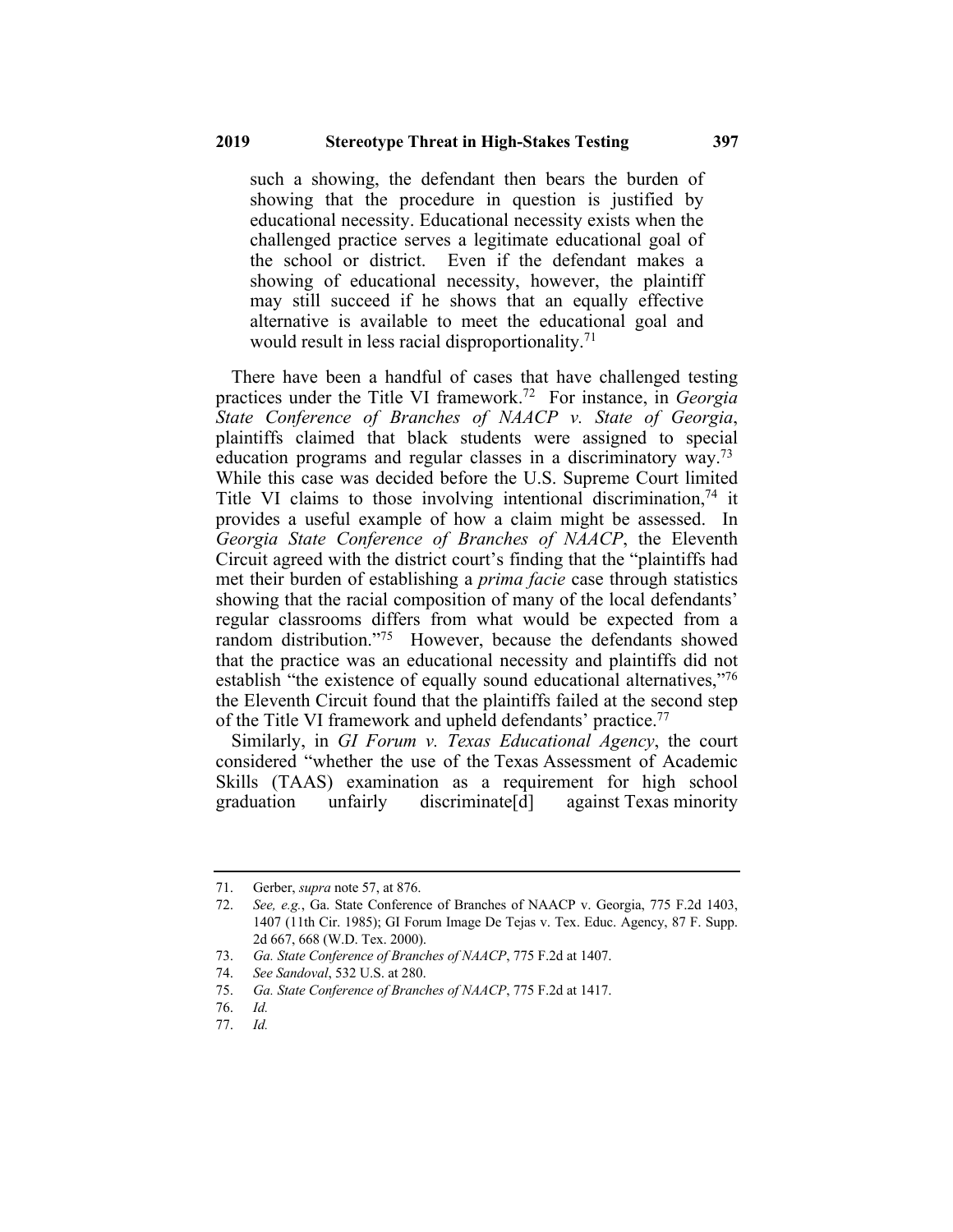such a showing, the defendant then bears the burden of showing that the procedure in question is justified by educational necessity. Educational necessity exists when the challenged practice serves a legitimate educational goal of the school or district. Even if the defendant makes a showing of educational necessity, however, the plaintiff may still succeed if he shows that an equally effective alternative is available to meet the educational goal and would result in less racial disproportionality.<sup>71</sup>

There have been a handful of cases that have challenged testing practices under the Title VI framework.72 For instance, in *Georgia State Conference of Branches of NAACP v. State of Georgia*, plaintiffs claimed that black students were assigned to special education programs and regular classes in a discriminatory way.73 While this case was decided before the U.S. Supreme Court limited Title VI claims to those involving intentional discrimination,  $74$  it provides a useful example of how a claim might be assessed. In *Georgia State Conference of Branches of NAACP*, the Eleventh Circuit agreed with the district court's finding that the "plaintiffs had met their burden of establishing a *prima facie* case through statistics showing that the racial composition of many of the local defendants' regular classrooms differs from what would be expected from a random distribution."<sup>75</sup> However, because the defendants showed that the practice was an educational necessity and plaintiffs did not establish "the existence of equally sound educational alternatives,"<sup>76</sup> the Eleventh Circuit found that the plaintiffs failed at the second step of the Title VI framework and upheld defendants' practice.<sup>77</sup>

Similarly, in *GI Forum v. Texas Educational Agency*, the court considered "whether the use of the Texas Assessment of Academic Skills (TAAS) examination as a requirement for high school graduation unfairly discriminate[d] against Texas minority

<sup>71.</sup> Gerber, *supra* note 57, at 876.

<sup>72.</sup> *See, e.g.*, Ga. State Conference of Branches of NAACP v. Georgia, 775 F.2d 1403, 1407 (11th Cir. 1985); GI Forum Image De Tejas v. Tex. Educ. Agency, 87 F. Supp. 2d 667, 668 (W.D. Tex. 2000).

<sup>73.</sup> *Ga. State Conference of Branches of NAACP*, 775 F.2d at 1407.

<sup>74.</sup> *See Sandoval*, 532 U.S. at 280.

<sup>75.</sup> *Ga. State Conference of Branches of NAACP*, 775 F.2d at 1417.

<sup>76.</sup> *Id.*

<sup>77.</sup> *Id.*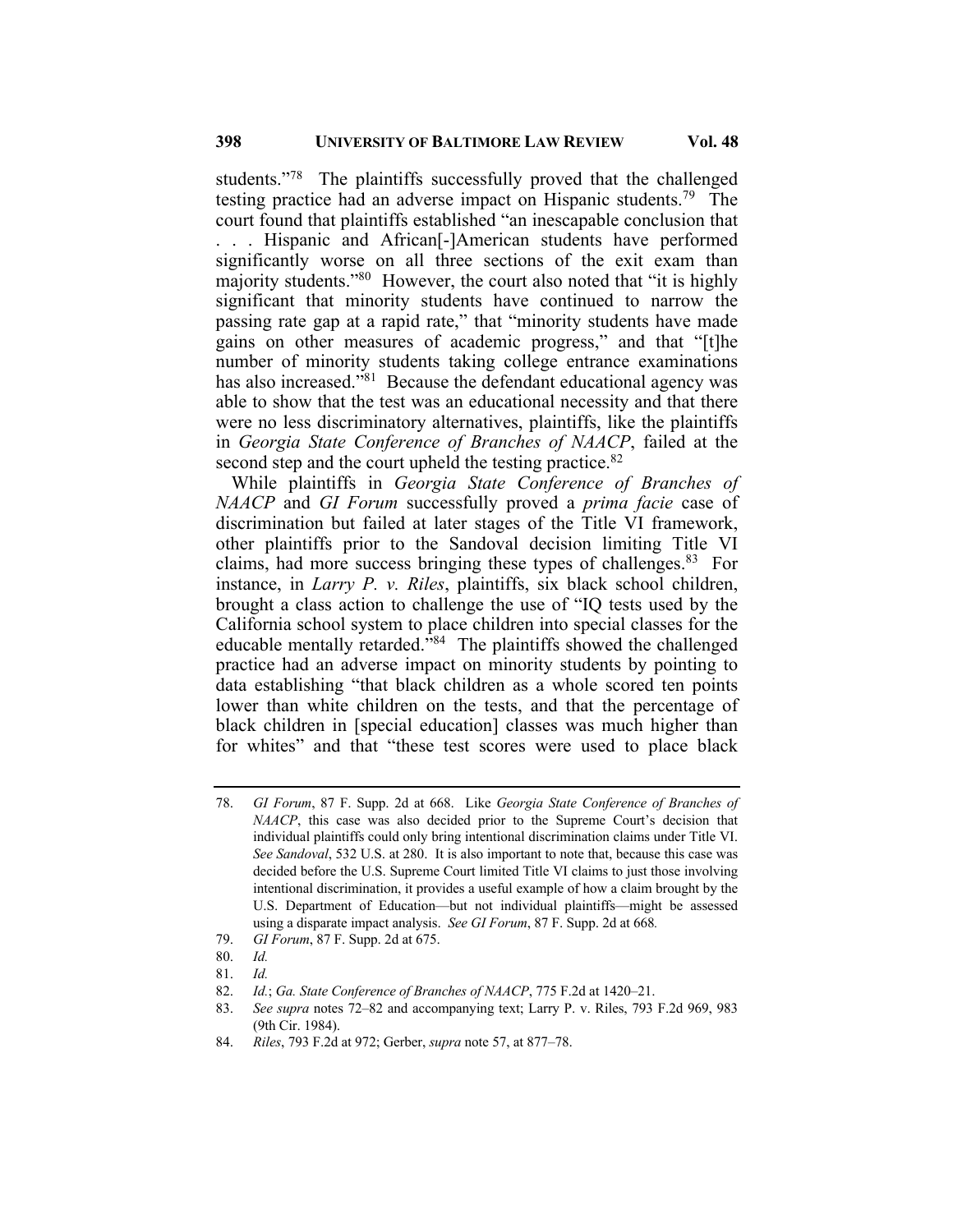students."<sup>78</sup> The plaintiffs successfully proved that the challenged testing practice had an adverse impact on Hispanic students.<sup>79</sup> The court found that plaintiffs established "an inescapable conclusion that . . . Hispanic and African[-]American students have performed significantly worse on all three sections of the exit exam than majority students."<sup>80</sup> However, the court also noted that "it is highly significant that minority students have continued to narrow the passing rate gap at a rapid rate," that "minority students have made gains on other measures of academic progress," and that "[t]he number of minority students taking college entrance examinations has also increased."<sup>81</sup> Because the defendant educational agency was able to show that the test was an educational necessity and that there were no less discriminatory alternatives, plaintiffs, like the plaintiffs in *Georgia State Conference of Branches of NAACP*, failed at the second step and the court upheld the testing practice.<sup>82</sup>

While plaintiffs in *Georgia State Conference of Branches of NAACP* and *GI Forum* successfully proved a *prima facie* case of discrimination but failed at later stages of the Title VI framework, other plaintiffs prior to the Sandoval decision limiting Title VI claims, had more success bringing these types of challenges.<sup>83</sup> For instance, in *Larry P. v. Riles*, plaintiffs, six black school children, brought a class action to challenge the use of "IQ tests used by the California school system to place children into special classes for the educable mentally retarded.<sup> $384$ </sup> The plaintiffs showed the challenged practice had an adverse impact on minority students by pointing to data establishing "that black children as a whole scored ten points lower than white children on the tests, and that the percentage of black children in [special education] classes was much higher than for whites" and that "these test scores were used to place black

81. *Id.*

<sup>78.</sup> *GI Forum*, 87 F. Supp. 2d at 668. Like *Georgia State Conference of Branches of NAACP*, this case was also decided prior to the Supreme Court's decision that individual plaintiffs could only bring intentional discrimination claims under Title VI. *See Sandoval*, 532 U.S. at 280. It is also important to note that, because this case was decided before the U.S. Supreme Court limited Title VI claims to just those involving intentional discrimination, it provides a useful example of how a claim brought by the U.S. Department of Education—but not individual plaintiffs—might be assessed using a disparate impact analysis. *See GI Forum*, 87 F. Supp. 2d at 668*.*

<sup>79.</sup> *GI Forum*, 87 F. Supp. 2d at 675.

<sup>80.</sup> *Id.*

<sup>82.</sup> *Id.*; *Ga. State Conference of Branches of NAACP*, 775 F.2d at 1420–21.

<sup>83.</sup> *See supra* notes 72–82 and accompanying text; Larry P. v. Riles, 793 F.2d 969, 983 (9th Cir. 1984).

<sup>84.</sup> *Riles*, 793 F.2d at 972; Gerber, *supra* note 57, at 877–78.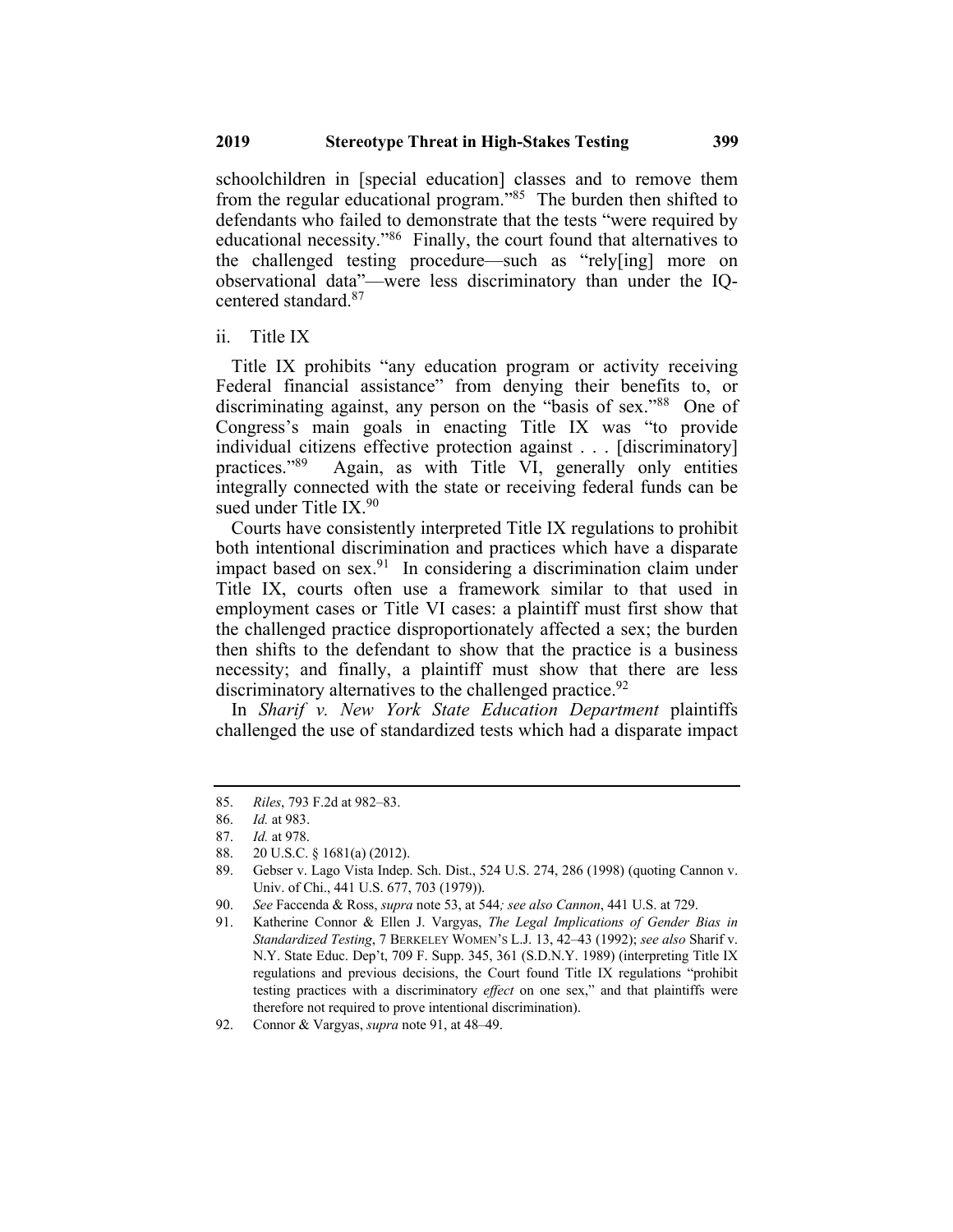schoolchildren in [special education] classes and to remove them from the regular educational program.<sup>385</sup> The burden then shifted to defendants who failed to demonstrate that the tests "were required by educational necessity."86 Finally, the court found that alternatives to the challenged testing procedure—such as "rely[ing] more on observational data"—were less discriminatory than under the IQcentered standard.87

ii. Title IX

Title IX prohibits "any education program or activity receiving Federal financial assistance" from denying their benefits to, or discriminating against, any person on the "basis of sex."88 One of Congress's main goals in enacting Title IX was "to provide individual citizens effective protection against . . . [discriminatory] practices."89 Again, as with Title VI, generally only entities integrally connected with the state or receiving federal funds can be sued under Title  $IX<sup>90</sup>$ 

Courts have consistently interpreted Title IX regulations to prohibit both intentional discrimination and practices which have a disparate impact based on sex.<sup>91</sup> In considering a discrimination claim under Title IX, courts often use a framework similar to that used in employment cases or Title VI cases: a plaintiff must first show that the challenged practice disproportionately affected a sex; the burden then shifts to the defendant to show that the practice is a business necessity; and finally, a plaintiff must show that there are less discriminatory alternatives to the challenged practice.<sup>92</sup>

In *Sharif v. New York State Education Department* plaintiffs challenged the use of standardized tests which had a disparate impact

<sup>85.</sup> *Riles*, 793 F.2d at 982–83.

<sup>86.</sup> *Id.* at 983.

<sup>87.</sup> *Id.* at 978.

<sup>88.</sup> 20 U.S.C. § 1681(a) (2012).

<sup>89.</sup> Gebser v. Lago Vista Indep. Sch. Dist., 524 U.S. 274, 286 (1998) (quoting Cannon v. Univ. of Chi., 441 U.S. 677, 703 (1979)).

<sup>90.</sup> *See* Faccenda & Ross, *supra* note 53, at 544*; see also Cannon*, 441 U.S. at 729.

<sup>91.</sup> Katherine Connor & Ellen J. Vargyas, *The Legal Implications of Gender Bias in Standardized Testing*, 7 BERKELEY WOMEN'S L.J. 13, 42–43 (1992); *see also* Sharif v. N.Y. State Educ. Dep't, 709 F. Supp. 345, 361 (S.D.N.Y. 1989) (interpreting Title IX regulations and previous decisions, the Court found Title IX regulations "prohibit testing practices with a discriminatory *effect* on one sex," and that plaintiffs were therefore not required to prove intentional discrimination).

<sup>92.</sup> Connor & Vargyas, *supra* note 91, at 48–49.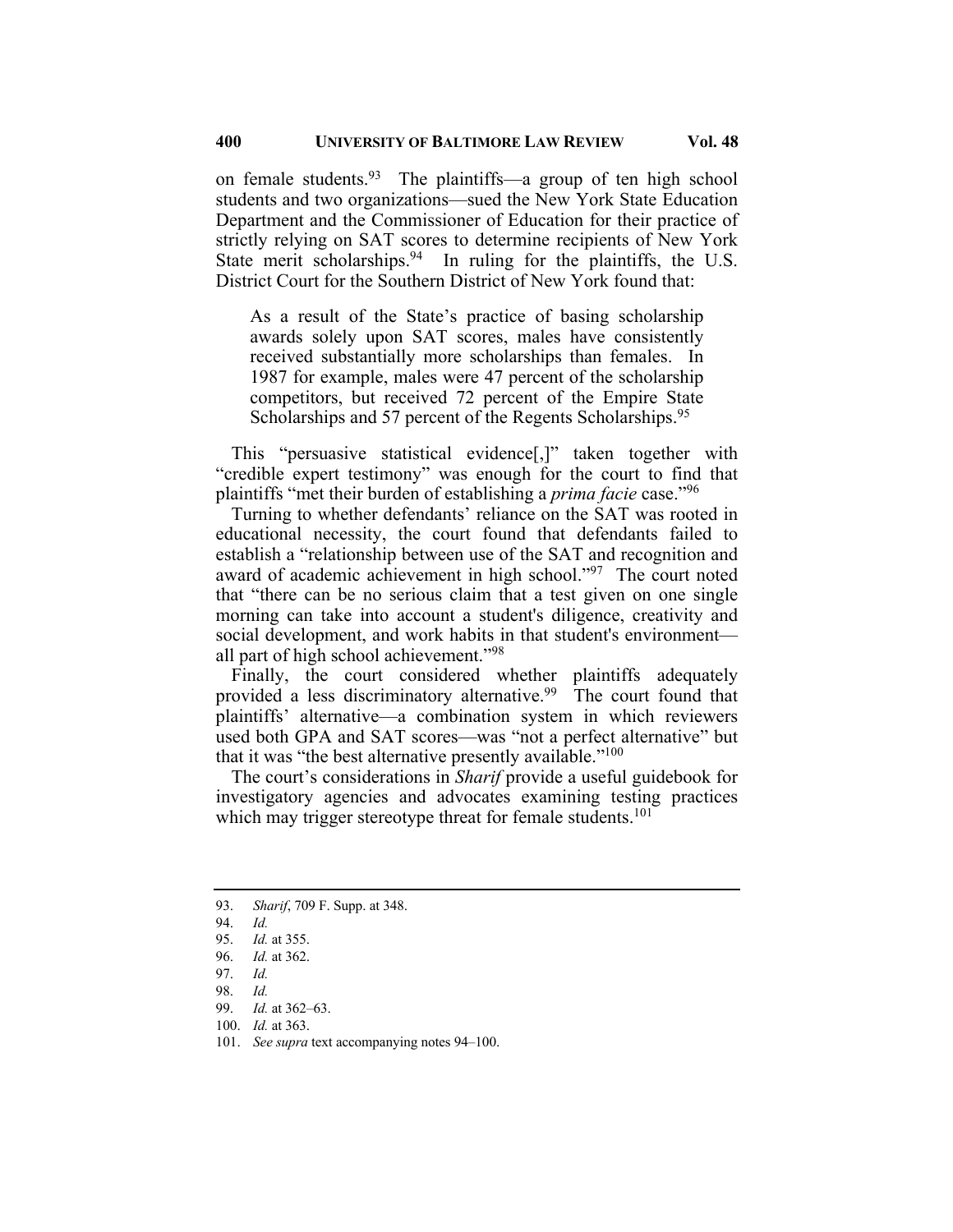on female students.<sup>93</sup> The plaintiffs—a group of ten high school students and two organizations—sued the New York State Education Department and the Commissioner of Education for their practice of strictly relying on SAT scores to determine recipients of New York State merit scholarships.  $94$  In ruling for the plaintiffs, the U.S. District Court for the Southern District of New York found that:

As a result of the State's practice of basing scholarship awards solely upon SAT scores, males have consistently received substantially more scholarships than females. In 1987 for example, males were 47 percent of the scholarship competitors, but received 72 percent of the Empire State Scholarships and 57 percent of the Regents Scholarships.<sup>95</sup>

This "persuasive statistical evidence[,]" taken together with "credible expert testimony" was enough for the court to find that plaintiffs "met their burden of establishing a *prima facie* case."96

Turning to whether defendants' reliance on the SAT was rooted in educational necessity, the court found that defendants failed to establish a "relationship between use of the SAT and recognition and award of academic achievement in high school."97 The court noted that "there can be no serious claim that a test given on one single morning can take into account a student's diligence, creativity and social development, and work habits in that student's environment all part of high school achievement."98

Finally, the court considered whether plaintiffs adequately provided a less discriminatory alternative.<sup>99</sup> The court found that plaintiffs' alternative—a combination system in which reviewers used both GPA and SAT scores—was "not a perfect alternative" but that it was "the best alternative presently available."<sup>100</sup>

The court's considerations in *Sharif* provide a useful guidebook for investigatory agencies and advocates examining testing practices which may trigger stereotype threat for female students.<sup>101</sup>

- 100. *Id.* at 363.
- 101. *See supra* text accompanying notes 94–100.

<sup>93.</sup> *Sharif*, 709 F. Supp. at 348.

<sup>94.</sup> *Id.*

<sup>95.</sup> *Id.* at 355.

<sup>96.</sup> *Id.* at 362.

<sup>97.</sup> *Id.*

<sup>98.</sup> *Id.*

<sup>99.</sup> *Id.* at 362–63.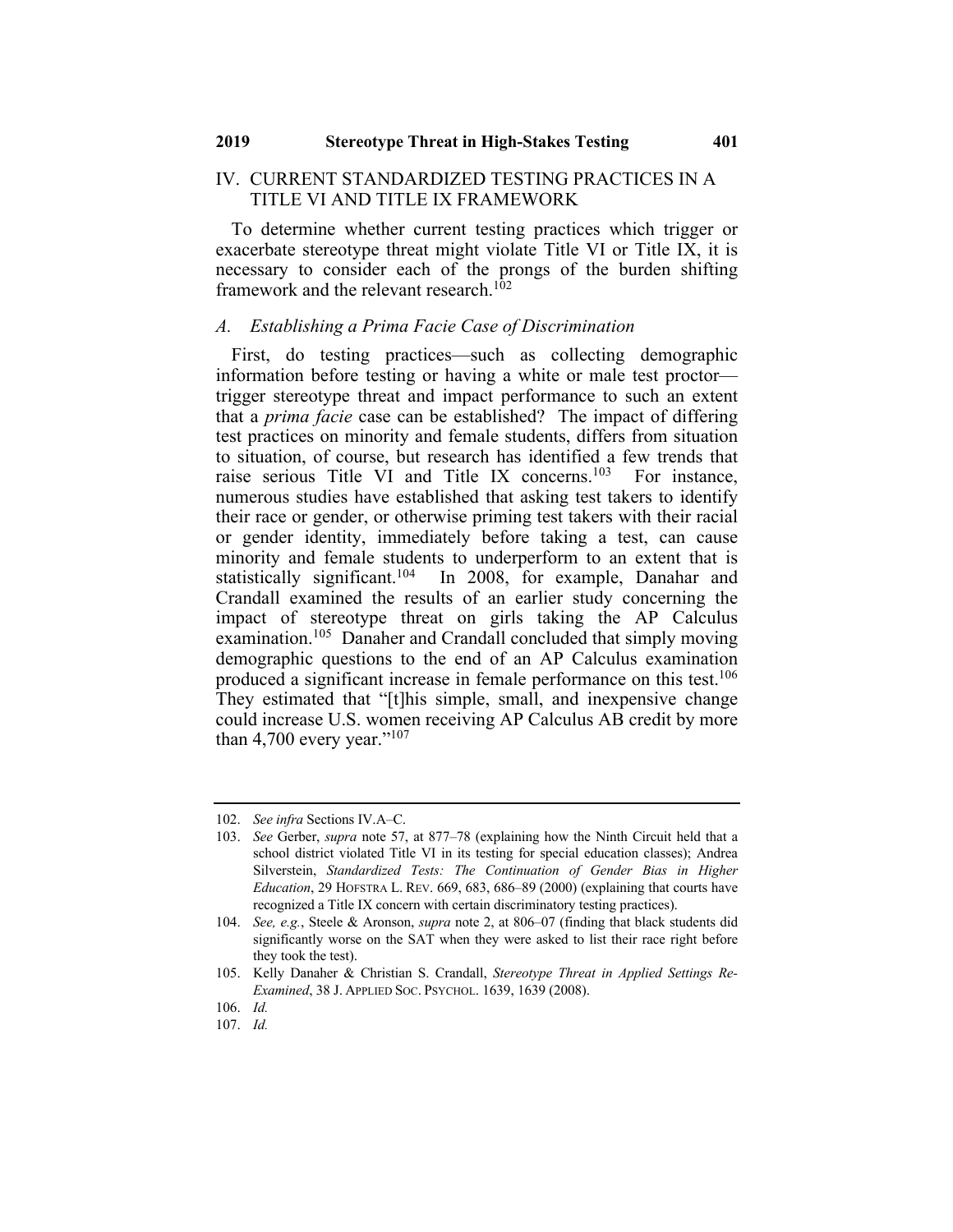#### IV. CURRENT STANDARDIZED TESTING PRACTICES IN A TITLE VI AND TITLE IX FRAMEWORK

To determine whether current testing practices which trigger or exacerbate stereotype threat might violate Title VI or Title IX, it is necessary to consider each of the prongs of the burden shifting framework and the relevant research.<sup>102</sup>

#### *A. Establishing a Prima Facie Case of Discrimination*

First, do testing practices—such as collecting demographic information before testing or having a white or male test proctor trigger stereotype threat and impact performance to such an extent that a *prima facie* case can be established? The impact of differing test practices on minority and female students, differs from situation to situation, of course, but research has identified a few trends that raise serious Title VI and Title IX concerns.103 For instance, numerous studies have established that asking test takers to identify their race or gender, or otherwise priming test takers with their racial or gender identity, immediately before taking a test, can cause minority and female students to underperform to an extent that is statistically significant.<sup>104</sup> In 2008, for example, Danahar and Crandall examined the results of an earlier study concerning the impact of stereotype threat on girls taking the AP Calculus examination.<sup>105</sup> Danaher and Crandall concluded that simply moving demographic questions to the end of an AP Calculus examination produced a significant increase in female performance on this test.<sup>106</sup> They estimated that "[t]his simple, small, and inexpensive change could increase U.S. women receiving AP Calculus AB credit by more than 4,700 every year."<sup>107</sup>

<sup>102.</sup> *See infra* Sections IV.A–C.

<sup>103.</sup> *See* Gerber, *supra* note 57, at 877–78 (explaining how the Ninth Circuit held that a school district violated Title VI in its testing for special education classes); Andrea Silverstein, *Standardized Tests: The Continuation of Gender Bias in Higher Education*, 29 HOFSTRA L. REV. 669, 683, 686–89 (2000) (explaining that courts have recognized a Title IX concern with certain discriminatory testing practices).

<sup>104.</sup> *See, e.g.*, Steele & Aronson, *supra* note 2, at 806–07 (finding that black students did significantly worse on the SAT when they were asked to list their race right before they took the test).

<sup>105.</sup> Kelly Danaher & Christian S. Crandall, *Stereotype Threat in Applied Settings Re-Examined*, 38 J. APPLIED SOC. PSYCHOL. 1639, 1639 (2008).

<sup>106.</sup> *Id.*

<sup>107.</sup> *Id.*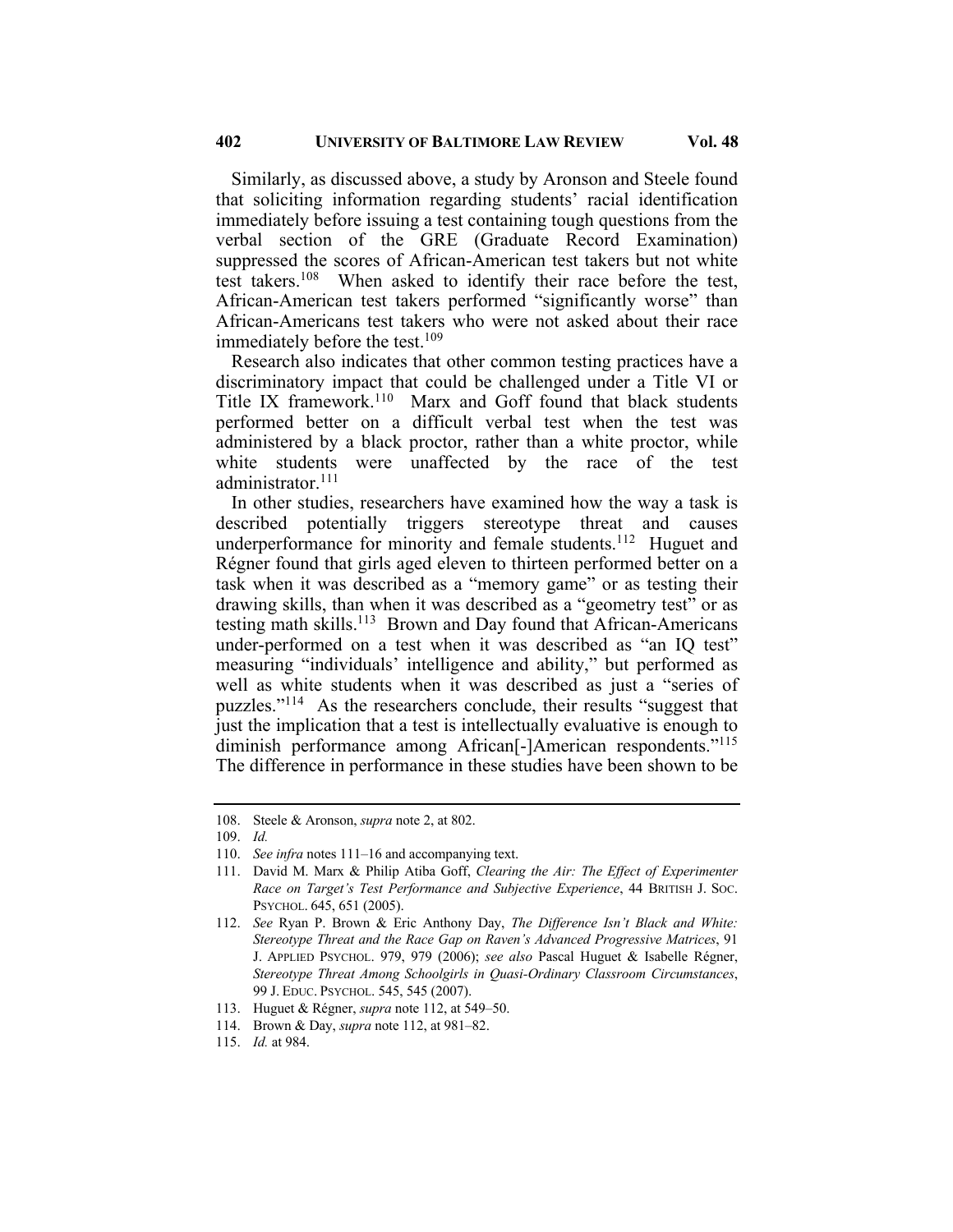Similarly, as discussed above, a study by Aronson and Steele found that soliciting information regarding students' racial identification immediately before issuing a test containing tough questions from the verbal section of the GRE (Graduate Record Examination) suppressed the scores of African-American test takers but not white test takers.108 When asked to identify their race before the test, African-American test takers performed "significantly worse" than African-Americans test takers who were not asked about their race immediately before the test.<sup>109</sup>

Research also indicates that other common testing practices have a discriminatory impact that could be challenged under a Title VI or Title IX framework.<sup>110</sup> Marx and Goff found that black students performed better on a difficult verbal test when the test was administered by a black proctor, rather than a white proctor, while white students were unaffected by the race of the test administrator.<sup>111</sup>

In other studies, researchers have examined how the way a task is described potentially triggers stereotype threat and causes underperformance for minority and female students.<sup>112</sup> Huguet and Régner found that girls aged eleven to thirteen performed better on a task when it was described as a "memory game" or as testing their drawing skills, than when it was described as a "geometry test" or as testing math skills.<sup>113</sup> Brown and Day found that African-Americans under-performed on a test when it was described as "an IQ test" measuring "individuals' intelligence and ability," but performed as well as white students when it was described as just a "series of puzzles."114 As the researchers conclude, their results "suggest that just the implication that a test is intellectually evaluative is enough to diminish performance among African<sup>[-]</sup>American respondents."<sup>115</sup> The difference in performance in these studies have been shown to be

<sup>108.</sup> Steele & Aronson, *supra* note 2, at 802.

<sup>109.</sup> *Id.*

<sup>110.</sup> *See infra* notes 111–16 and accompanying text.

<sup>111.</sup> David M. Marx & Philip Atiba Goff, *Clearing the Air: The Effect of Experimenter Race on Target's Test Performance and Subjective Experience*, 44 BRITISH J. SOC. PSYCHOL. 645, 651 (2005).

<sup>112.</sup> *See* Ryan P. Brown & Eric Anthony Day, *The Difference Isn't Black and White: Stereotype Threat and the Race Gap on Raven's Advanced Progressive Matrices*, 91 J. APPLIED PSYCHOL. 979, 979 (2006); *see also* Pascal Huguet & Isabelle Régner, *Stereotype Threat Among Schoolgirls in Quasi-Ordinary Classroom Circumstances*, 99 J. EDUC. PSYCHOL. 545, 545 (2007).

<sup>113.</sup> Huguet & Régner, *supra* note 112, at 549–50.

<sup>114.</sup> Brown & Day, *supra* note 112, at 981–82.

<sup>115.</sup> *Id.* at 984.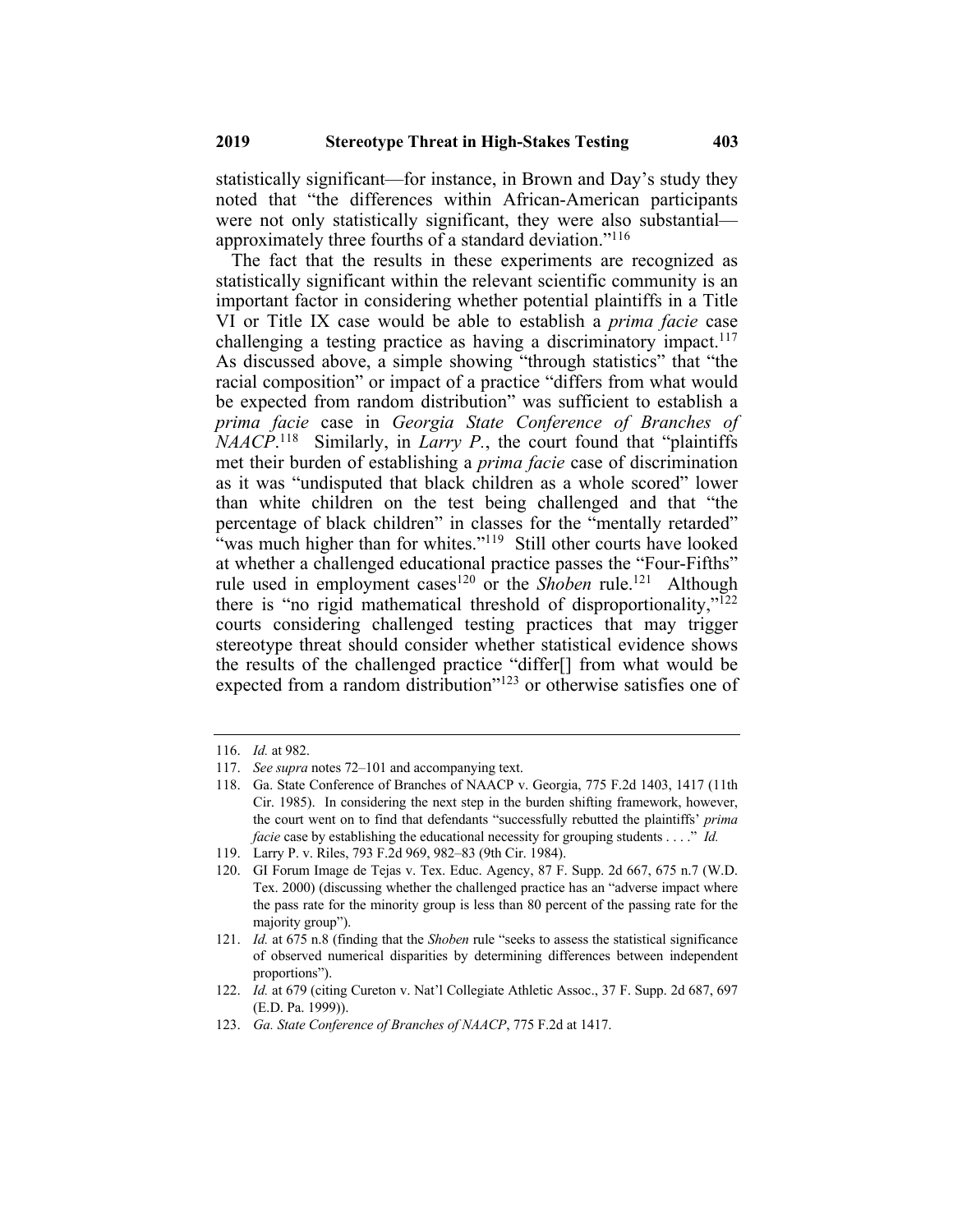statistically significant—for instance, in Brown and Day's study they noted that "the differences within African-American participants were not only statistically significant, they were also substantial approximately three fourths of a standard deviation."116

The fact that the results in these experiments are recognized as statistically significant within the relevant scientific community is an important factor in considering whether potential plaintiffs in a Title VI or Title IX case would be able to establish a *prima facie* case challenging a testing practice as having a discriminatory impact.<sup>117</sup> As discussed above, a simple showing "through statistics" that "the racial composition" or impact of a practice "differs from what would be expected from random distribution" was sufficient to establish a *prima facie* case in *Georgia State Conference of Branches of NAACP*. 118 Similarly, in *Larry P.*, the court found that "plaintiffs met their burden of establishing a *prima facie* case of discrimination as it was "undisputed that black children as a whole scored" lower than white children on the test being challenged and that "the percentage of black children" in classes for the "mentally retarded" "was much higher than for whites."<sup>119</sup> Still other courts have looked at whether a challenged educational practice passes the "Four-Fifths" rule used in employment cases<sup>120</sup> or the *Shoben* rule.<sup>121</sup> Although there is "no rigid mathematical threshold of disproportionality," $\frac{1}{2}$ courts considering challenged testing practices that may trigger stereotype threat should consider whether statistical evidence shows the results of the challenged practice "differ[] from what would be expected from a random distribution"<sup>123</sup> or otherwise satisfies one of

<sup>116.</sup> *Id.* at 982.

<sup>117.</sup> *See supra* notes 72–101 and accompanying text.

<sup>118.</sup> Ga. State Conference of Branches of NAACP v. Georgia, 775 F.2d 1403, 1417 (11th Cir. 1985). In considering the next step in the burden shifting framework, however, the court went on to find that defendants "successfully rebutted the plaintiffs' *prima facie* case by establishing the educational necessity for grouping students . . . ." *Id.* 

<sup>119.</sup> Larry P. v. Riles, 793 F.2d 969, 982–83 (9th Cir. 1984).

<sup>120.</sup> GI Forum Image de Tejas v. Tex. Educ. Agency, 87 F. Supp. 2d 667, 675 n.7 (W.D. Tex. 2000) (discussing whether the challenged practice has an "adverse impact where the pass rate for the minority group is less than 80 percent of the passing rate for the majority group").

<sup>121.</sup> *Id.* at 675 n.8 (finding that the *Shoben* rule "seeks to assess the statistical significance of observed numerical disparities by determining differences between independent proportions").

<sup>122.</sup> *Id.* at 679 (citing Cureton v. Nat'l Collegiate Athletic Assoc., 37 F. Supp. 2d 687, 697 (E.D. Pa. 1999)).

<sup>123.</sup> *Ga. State Conference of Branches of NAACP*, 775 F.2d at 1417.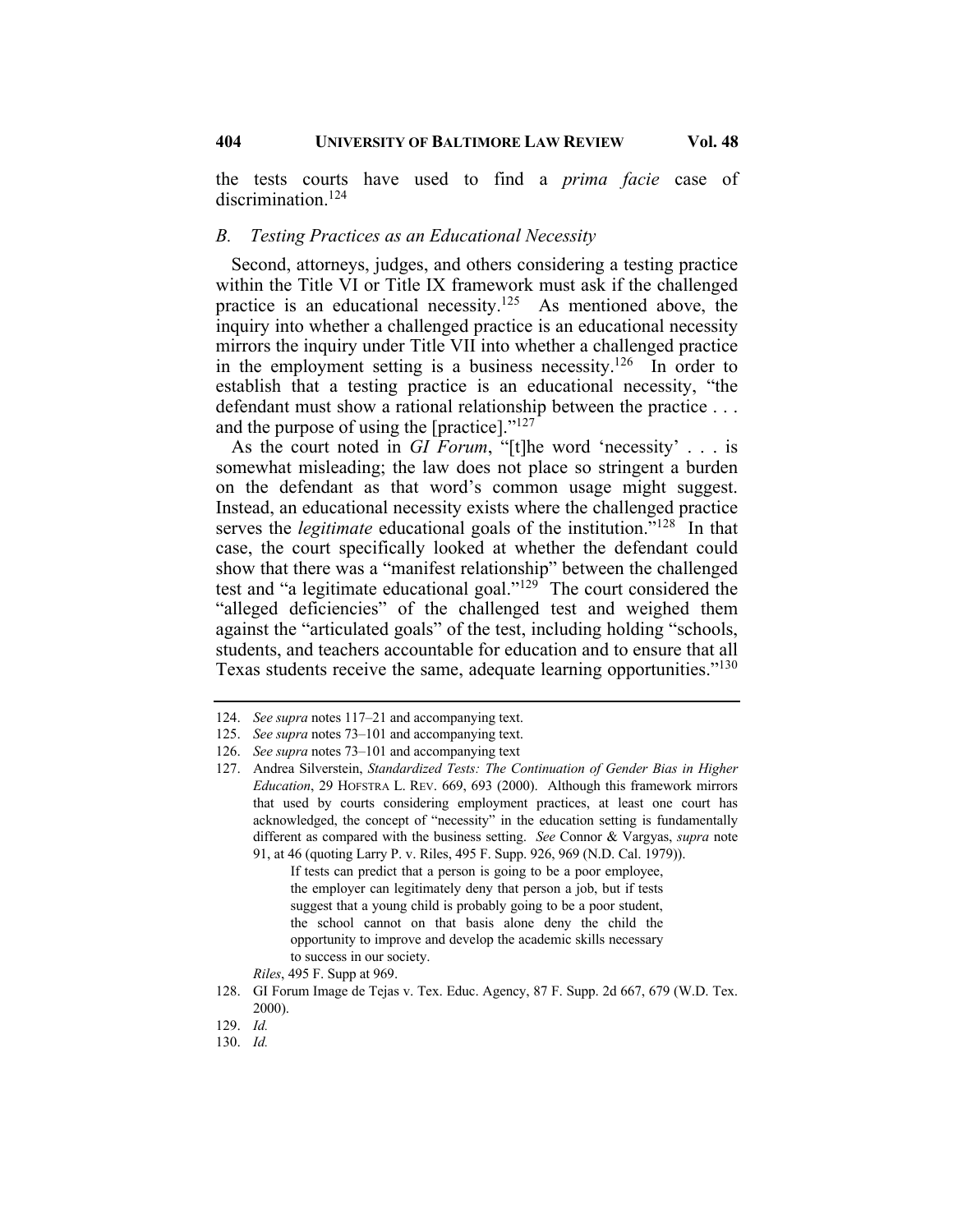the tests courts have used to find a *prima facie* case of discrimination.<sup>124</sup>

#### *B. Testing Practices as an Educational Necessity*

Second, attorneys, judges, and others considering a testing practice within the Title VI or Title IX framework must ask if the challenged practice is an educational necessity.<sup>125</sup> As mentioned above, the inquiry into whether a challenged practice is an educational necessity mirrors the inquiry under Title VII into whether a challenged practice in the employment setting is a business necessity.<sup>126</sup> In order to establish that a testing practice is an educational necessity, "the defendant must show a rational relationship between the practice . . . and the purpose of using the [practice]."127

As the court noted in *GI Forum*, "[t]he word 'necessity' . . . is somewhat misleading; the law does not place so stringent a burden on the defendant as that word's common usage might suggest. Instead, an educational necessity exists where the challenged practice serves the *legitimate* educational goals of the institution.<sup>"128</sup> In that case, the court specifically looked at whether the defendant could show that there was a "manifest relationship" between the challenged test and "a legitimate educational goal."129 The court considered the "alleged deficiencies" of the challenged test and weighed them against the "articulated goals" of the test, including holding "schools, students, and teachers accountable for education and to ensure that all Texas students receive the same, adequate learning opportunities."<sup>130</sup>

If tests can predict that a person is going to be a poor employee, the employer can legitimately deny that person a job, but if tests suggest that a young child is probably going to be a poor student, the school cannot on that basis alone deny the child the opportunity to improve and develop the academic skills necessary to success in our society.

<sup>124.</sup> *See supra* notes 117–21 and accompanying text.

<sup>125.</sup> *See supra* notes 73–101 and accompanying text.

<sup>126.</sup> *See supra* notes 73–101 and accompanying text

<sup>127.</sup> Andrea Silverstein, *Standardized Tests: The Continuation of Gender Bias in Higher Education*, 29 HOFSTRA L. REV. 669, 693 (2000). Although this framework mirrors that used by courts considering employment practices, at least one court has acknowledged, the concept of "necessity" in the education setting is fundamentally different as compared with the business setting. *See* Connor & Vargyas, *supra* note 91, at 46 (quoting Larry P. v. Riles, 495 F. Supp. 926, 969 (N.D. Cal. 1979)).

*Riles*, 495 F. Supp at 969.

<sup>128.</sup> GI Forum Image de Tejas v. Tex. Educ. Agency, 87 F. Supp. 2d 667, 679 (W.D. Tex. 2000).

<sup>129.</sup> *Id.*

<sup>130.</sup> *Id.*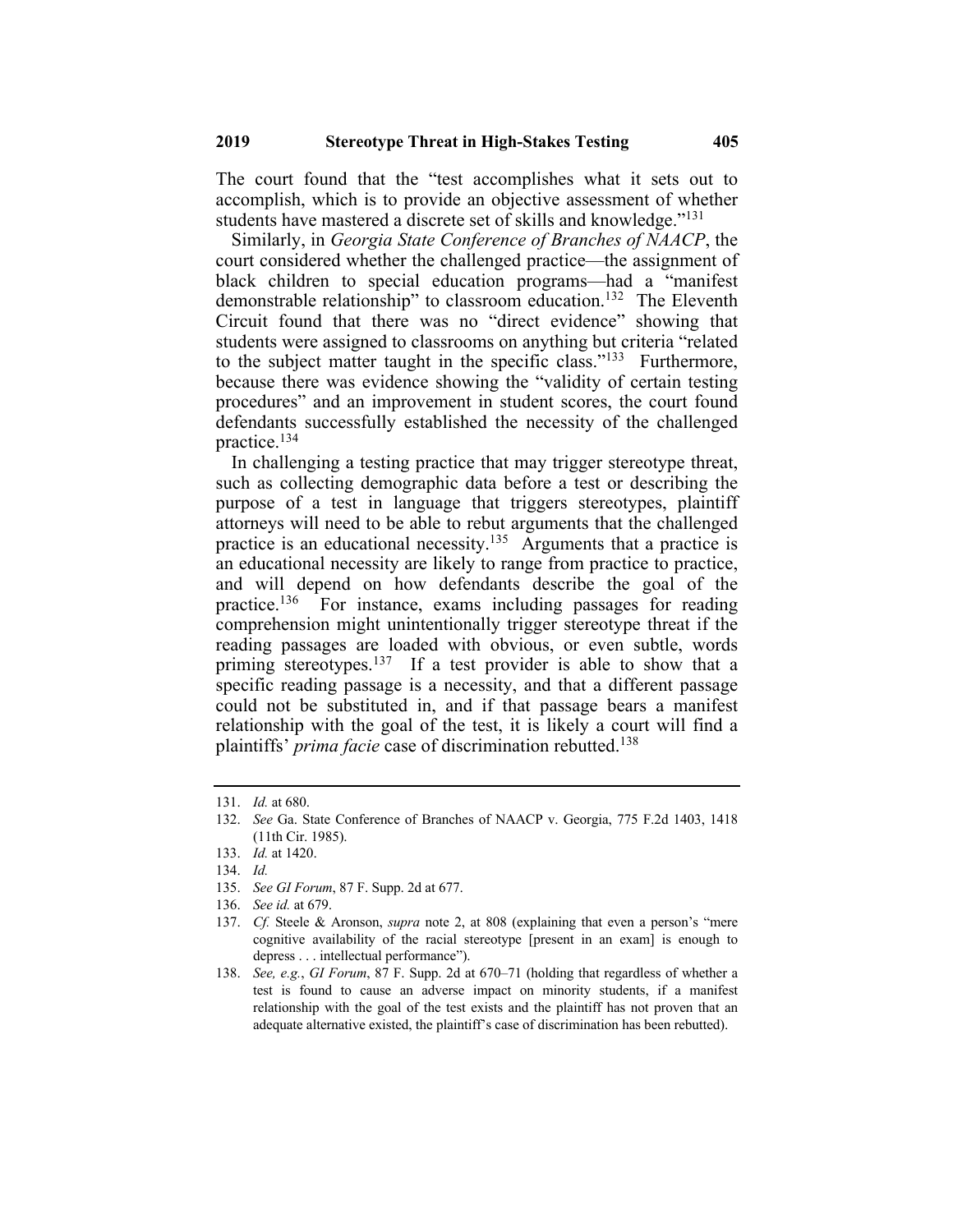The court found that the "test accomplishes what it sets out to accomplish, which is to provide an objective assessment of whether students have mastered a discrete set of skills and knowledge."<sup>131</sup>

Similarly, in *Georgia State Conference of Branches of NAACP*, the court considered whether the challenged practice—the assignment of black children to special education programs—had a "manifest demonstrable relationship" to classroom education.<sup>132</sup> The Eleventh Circuit found that there was no "direct evidence" showing that students were assigned to classrooms on anything but criteria "related to the subject matter taught in the specific class."<sup>133</sup> Furthermore, because there was evidence showing the "validity of certain testing procedures" and an improvement in student scores, the court found defendants successfully established the necessity of the challenged practice.134

In challenging a testing practice that may trigger stereotype threat, such as collecting demographic data before a test or describing the purpose of a test in language that triggers stereotypes, plaintiff attorneys will need to be able to rebut arguments that the challenged practice is an educational necessity.<sup>135</sup> Arguments that a practice is an educational necessity are likely to range from practice to practice, and will depend on how defendants describe the goal of the practice.136 For instance, exams including passages for reading comprehension might unintentionally trigger stereotype threat if the reading passages are loaded with obvious, or even subtle, words priming stereotypes.<sup>137</sup> If a test provider is able to show that a specific reading passage is a necessity, and that a different passage could not be substituted in, and if that passage bears a manifest relationship with the goal of the test, it is likely a court will find a plaintiffs' *prima facie* case of discrimination rebutted.138

<sup>131.</sup> *Id.* at 680.

<sup>132.</sup> *See* Ga. State Conference of Branches of NAACP v. Georgia, 775 F.2d 1403, 1418 (11th Cir. 1985).

<sup>133.</sup> *Id.* at 1420.

<sup>134.</sup> *Id.*

<sup>135.</sup> *See GI Forum*, 87 F. Supp. 2d at 677.

<sup>136.</sup> *See id.* at 679.

<sup>137.</sup> *Cf.* Steele & Aronson, *supra* note 2, at 808 (explaining that even a person's "mere cognitive availability of the racial stereotype [present in an exam] is enough to depress . . . intellectual performance").

<sup>138.</sup> *See, e.g.*, *GI Forum*, 87 F. Supp. 2d at 670–71 (holding that regardless of whether a test is found to cause an adverse impact on minority students, if a manifest relationship with the goal of the test exists and the plaintiff has not proven that an adequate alternative existed, the plaintiff's case of discrimination has been rebutted).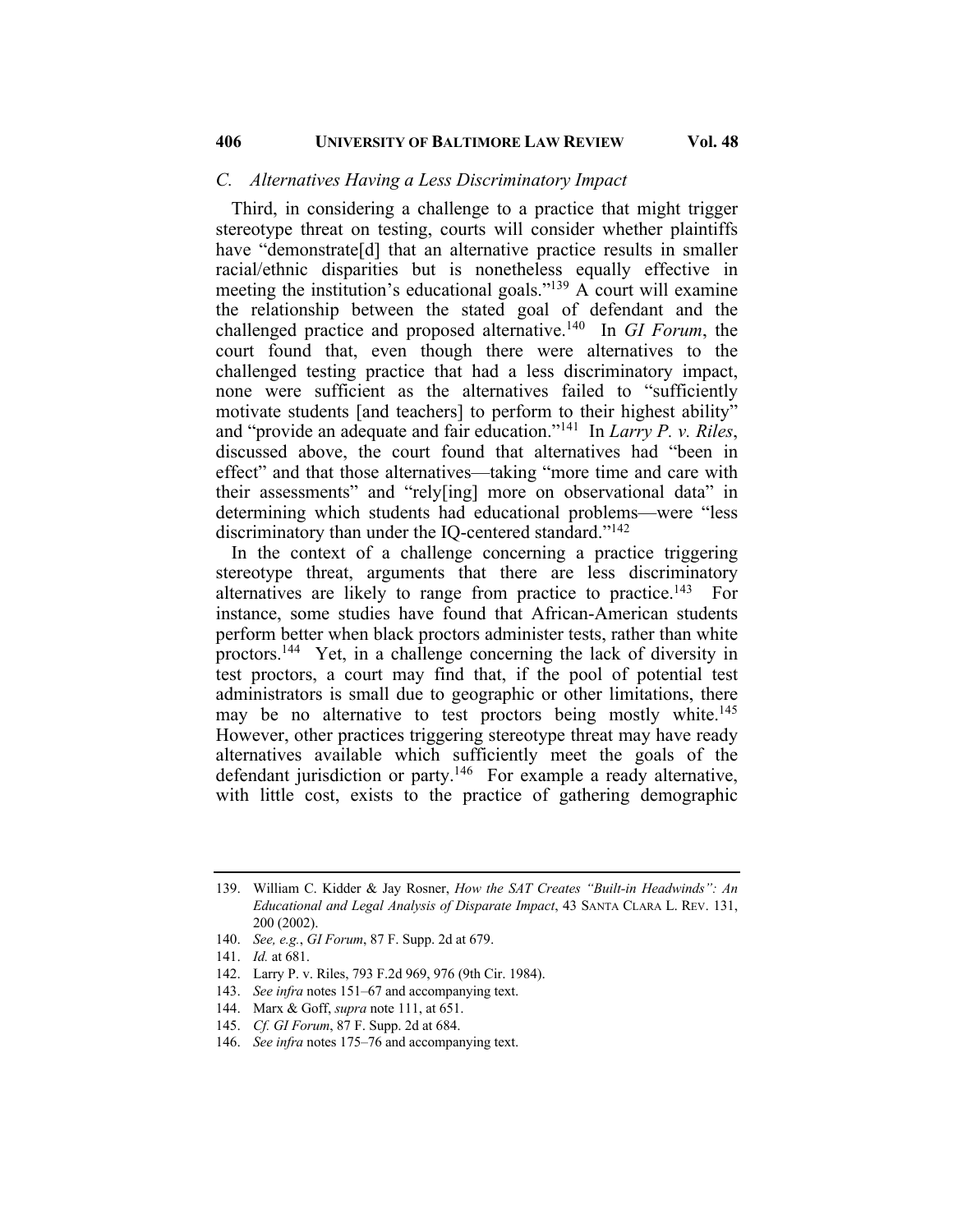#### *C. Alternatives Having a Less Discriminatory Impact*

Third, in considering a challenge to a practice that might trigger stereotype threat on testing, courts will consider whether plaintiffs have "demonstrate<sup>[d]</sup> that an alternative practice results in smaller racial/ethnic disparities but is nonetheless equally effective in meeting the institution's educational goals."<sup>139</sup> A court will examine the relationship between the stated goal of defendant and the challenged practice and proposed alternative.140 In *GI Forum*, the court found that, even though there were alternatives to the challenged testing practice that had a less discriminatory impact, none were sufficient as the alternatives failed to "sufficiently motivate students [and teachers] to perform to their highest ability" and "provide an adequate and fair education."141 In *Larry P. v. Riles*, discussed above, the court found that alternatives had "been in effect" and that those alternatives—taking "more time and care with their assessments" and "rely[ing] more on observational data" in determining which students had educational problems—were "less discriminatory than under the IQ-centered standard."142

In the context of a challenge concerning a practice triggering stereotype threat, arguments that there are less discriminatory alternatives are likely to range from practice to practice.<sup>143</sup> For instance, some studies have found that African-American students perform better when black proctors administer tests, rather than white proctors.144 Yet, in a challenge concerning the lack of diversity in test proctors, a court may find that, if the pool of potential test administrators is small due to geographic or other limitations, there may be no alternative to test proctors being mostly white.<sup>145</sup> However, other practices triggering stereotype threat may have ready alternatives available which sufficiently meet the goals of the defendant jurisdiction or party.<sup>146</sup> For example a ready alternative, with little cost, exists to the practice of gathering demographic

<sup>139.</sup> William C. Kidder & Jay Rosner, *How the SAT Creates "Built-in Headwinds": An Educational and Legal Analysis of Disparate Impact*, 43 SANTA CLARA L. REV. 131, 200 (2002).

<sup>140.</sup> *See, e.g.*, *GI Forum*, 87 F. Supp. 2d at 679.

<sup>141.</sup> *Id.* at 681.

<sup>142.</sup> Larry P. v. Riles, 793 F.2d 969, 976 (9th Cir. 1984).

<sup>143.</sup> *See infra* notes 151–67 and accompanying text.

<sup>144.</sup> Marx & Goff, *supra* note 111, at 651.

<sup>145.</sup> *Cf. GI Forum*, 87 F. Supp. 2d at 684.

<sup>146.</sup> *See infra* notes 175–76 and accompanying text.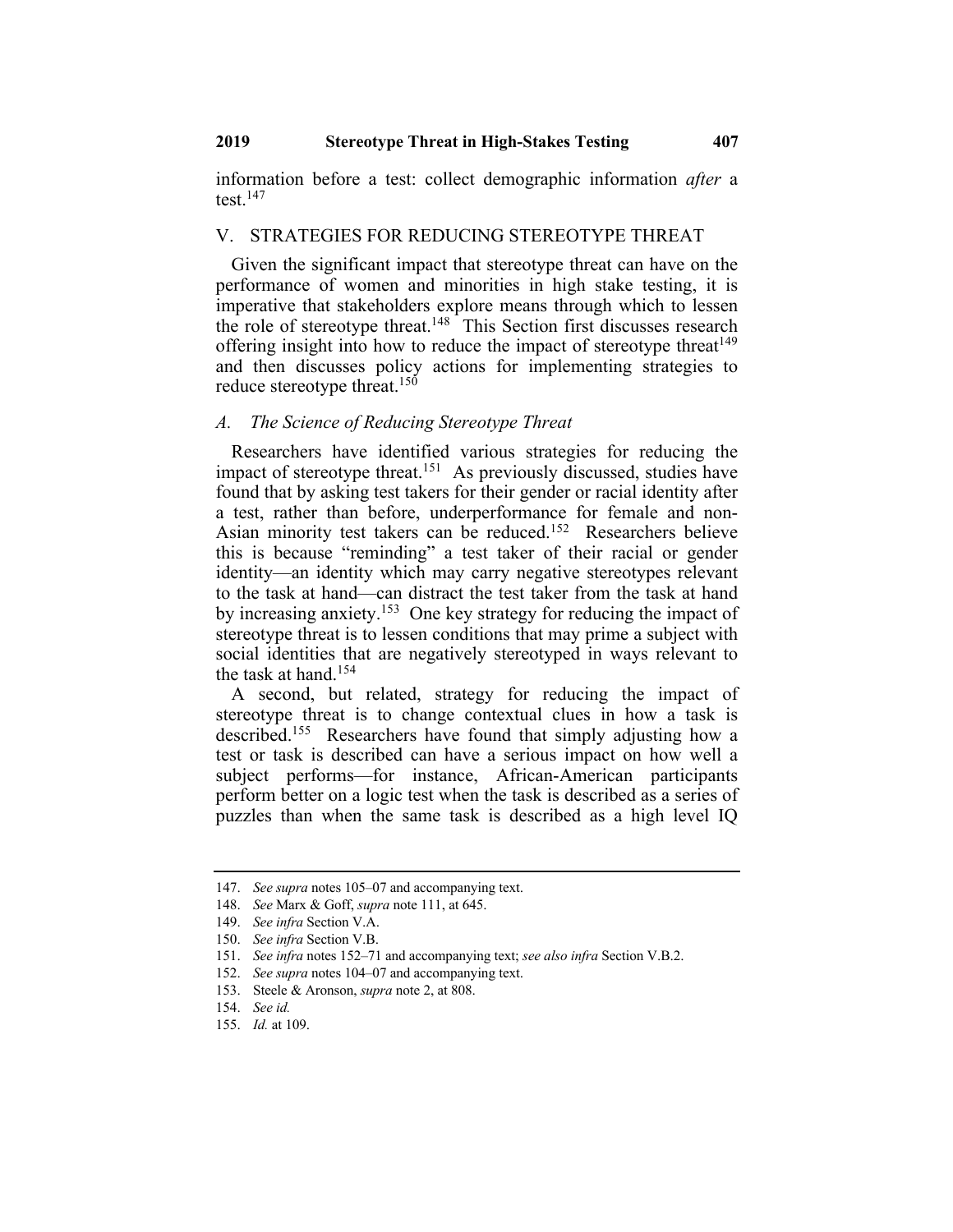information before a test: collect demographic information *after* a test.147

#### V. STRATEGIES FOR REDUCING STEREOTYPE THREAT

Given the significant impact that stereotype threat can have on the performance of women and minorities in high stake testing, it is imperative that stakeholders explore means through which to lessen the role of stereotype threat.<sup>148</sup> This Section first discusses research offering insight into how to reduce the impact of stereotype threat  $149$ and then discusses policy actions for implementing strategies to reduce stereotype threat.<sup>150</sup>

#### *A. The Science of Reducing Stereotype Threat*

Researchers have identified various strategies for reducing the impact of stereotype threat.<sup>151</sup> As previously discussed, studies have found that by asking test takers for their gender or racial identity after a test, rather than before, underperformance for female and non-Asian minority test takers can be reduced.152 Researchers believe this is because "reminding" a test taker of their racial or gender identity—an identity which may carry negative stereotypes relevant to the task at hand—can distract the test taker from the task at hand by increasing anxiety.<sup>153</sup> One key strategy for reducing the impact of stereotype threat is to lessen conditions that may prime a subject with social identities that are negatively stereotyped in ways relevant to the task at hand.<sup>154</sup>

A second, but related, strategy for reducing the impact of stereotype threat is to change contextual clues in how a task is described.155 Researchers have found that simply adjusting how a test or task is described can have a serious impact on how well a subject performs—for instance, African-American participants perform better on a logic test when the task is described as a series of puzzles than when the same task is described as a high level IQ

<sup>147.</sup> *See supra* notes 105–07 and accompanying text.

<sup>148.</sup> *See* Marx & Goff, *supra* note 111, at 645.

<sup>149.</sup> *See infra* Section V.A.

<sup>150.</sup> *See infra* Section V.B.

<sup>151.</sup> *See infra* notes 152–71 and accompanying text; *see also infra* Section V.B.2.

<sup>152.</sup> *See supra* notes 104–07 and accompanying text.

<sup>153.</sup> Steele & Aronson, *supra* note 2, at 808.

<sup>154.</sup> *See id.*

<sup>155.</sup> *Id.* at 109.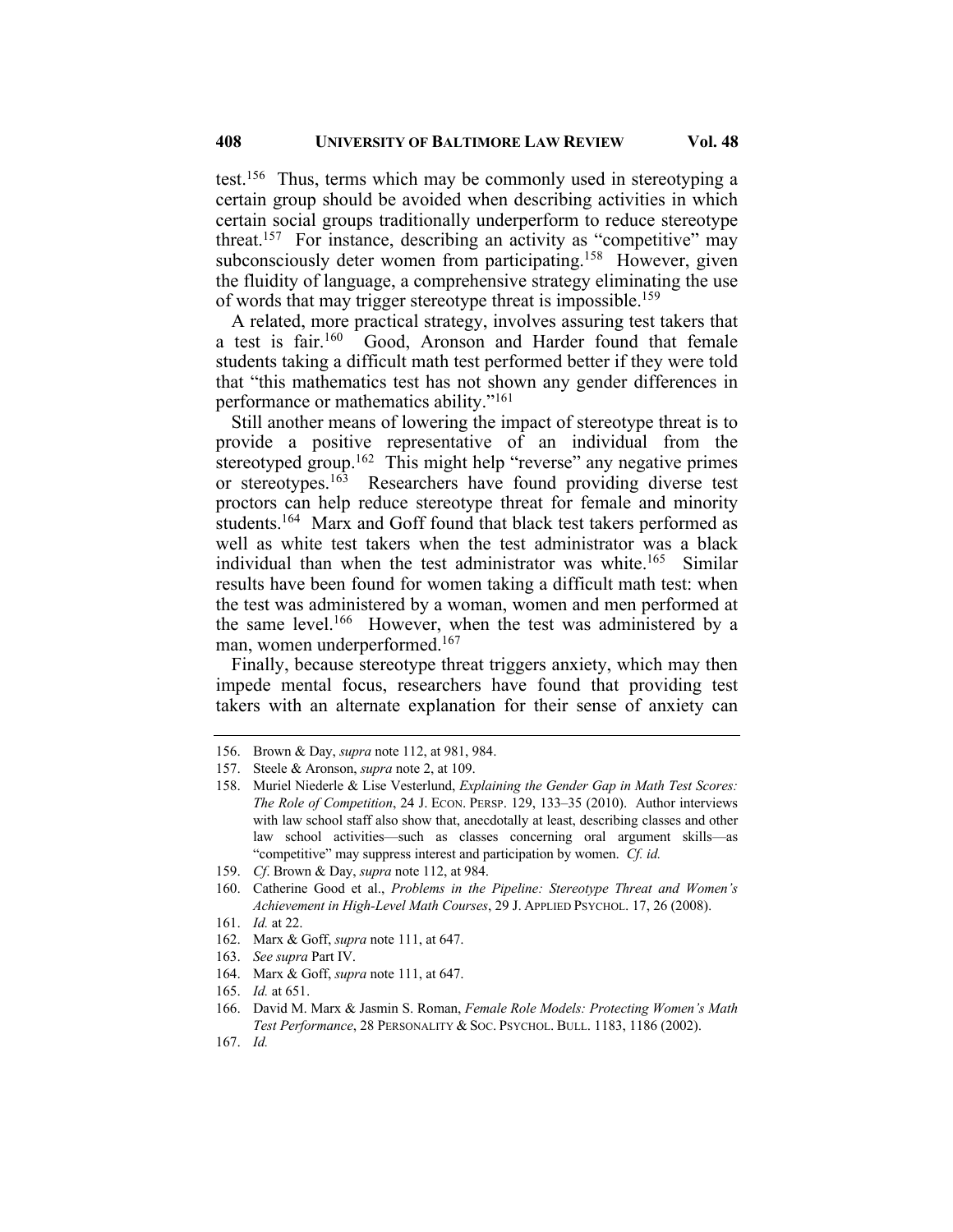test.156 Thus, terms which may be commonly used in stereotyping a certain group should be avoided when describing activities in which certain social groups traditionally underperform to reduce stereotype threat.<sup>157</sup> For instance, describing an activity as "competitive" may subconsciously deter women from participating.<sup>158</sup> However, given the fluidity of language, a comprehensive strategy eliminating the use of words that may trigger stereotype threat is impossible.<sup>159</sup>

A related, more practical strategy, involves assuring test takers that a test is fair.<sup>160</sup> Good, Aronson and Harder found that female students taking a difficult math test performed better if they were told that "this mathematics test has not shown any gender differences in performance or mathematics ability."161

Still another means of lowering the impact of stereotype threat is to provide a positive representative of an individual from the stereotyped group.<sup>162</sup> This might help "reverse" any negative primes or stereotypes.<sup>163</sup> Researchers have found providing diverse test proctors can help reduce stereotype threat for female and minority students.164 Marx and Goff found that black test takers performed as well as white test takers when the test administrator was a black individual than when the test administrator was white.<sup>165</sup> Similar results have been found for women taking a difficult math test: when the test was administered by a woman, women and men performed at the same level.<sup>166</sup> However, when the test was administered by a man, women underperformed.167

Finally, because stereotype threat triggers anxiety, which may then impede mental focus, researchers have found that providing test takers with an alternate explanation for their sense of anxiety can

- 162. Marx & Goff, *supra* note 111, at 647.
- 163. *See supra* Part IV.
- 164. Marx & Goff, *supra* note 111, at 647.
- 165. *Id.* at 651.

167. *Id.*

<sup>156.</sup> Brown & Day, *supra* note 112, at 981, 984.

<sup>157.</sup> Steele & Aronson, *supra* note 2, at 109.

<sup>158.</sup> Muriel Niederle & Lise Vesterlund, *Explaining the Gender Gap in Math Test Scores: The Role of Competition*, 24 J. ECON. PERSP. 129, 133–35 (2010). Author interviews with law school staff also show that, anecdotally at least, describing classes and other law school activities—such as classes concerning oral argument skills—as "competitive" may suppress interest and participation by women. *Cf. id.*

<sup>159.</sup> *Cf*. Brown & Day, *supra* note 112, at 984.

<sup>160.</sup> Catherine Good et al., *Problems in the Pipeline: Stereotype Threat and Women's Achievement in High-Level Math Courses*, 29 J. APPLIED PSYCHOL. 17, 26 (2008).

<sup>161.</sup> *Id.* at 22.

<sup>166.</sup> David M. Marx & Jasmin S. Roman, *Female Role Models: Protecting Women's Math Test Performance*, 28 PERSONALITY & SOC. PSYCHOL. BULL. 1183, 1186 (2002).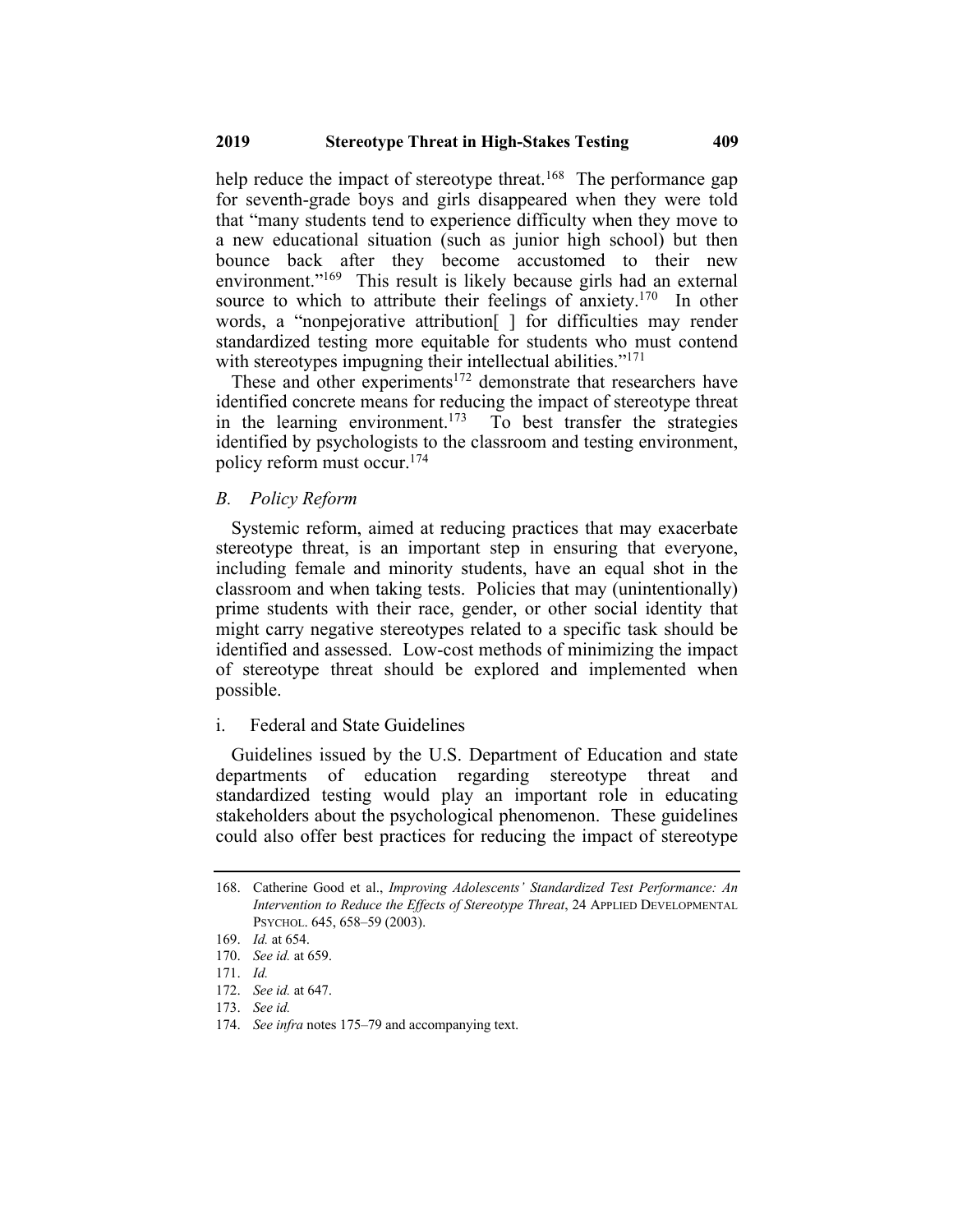help reduce the impact of stereotype threat.<sup>168</sup> The performance gap for seventh-grade boys and girls disappeared when they were told that "many students tend to experience difficulty when they move to a new educational situation (such as junior high school) but then bounce back after they become accustomed to their new environment."<sup>169</sup> This result is likely because girls had an external source to which to attribute their feelings of anxiety.<sup>170</sup> In other words, a "nonpejorative attribution[ ] for difficulties may render standardized testing more equitable for students who must contend with stereotypes impugning their intellectual abilities."<sup>171</sup>

These and other experiments<sup>172</sup> demonstrate that researchers have identified concrete means for reducing the impact of stereotype threat in the learning environment.<sup>173</sup> To best transfer the strategies identified by psychologists to the classroom and testing environment, policy reform must occur.174

#### *B. Policy Reform*

Systemic reform, aimed at reducing practices that may exacerbate stereotype threat, is an important step in ensuring that everyone, including female and minority students, have an equal shot in the classroom and when taking tests. Policies that may (unintentionally) prime students with their race, gender, or other social identity that might carry negative stereotypes related to a specific task should be identified and assessed. Low-cost methods of minimizing the impact of stereotype threat should be explored and implemented when possible.

#### i. Federal and State Guidelines

Guidelines issued by the U.S. Department of Education and state departments of education regarding stereotype threat and standardized testing would play an important role in educating stakeholders about the psychological phenomenon. These guidelines could also offer best practices for reducing the impact of stereotype

<sup>168.</sup> Catherine Good et al., *Improving Adolescents' Standardized Test Performance: An Intervention to Reduce the Effects of Stereotype Threat*, 24 APPLIED DEVELOPMENTAL PSYCHOL. 645, 658–59 (2003).

<sup>169.</sup> *Id.* at 654.

<sup>170.</sup> *See id.* at 659.

<sup>171.</sup> *Id.*

<sup>172.</sup> *See id.* at 647.

<sup>173.</sup> *See id.*

<sup>174.</sup> *See infra* notes 175–79 and accompanying text.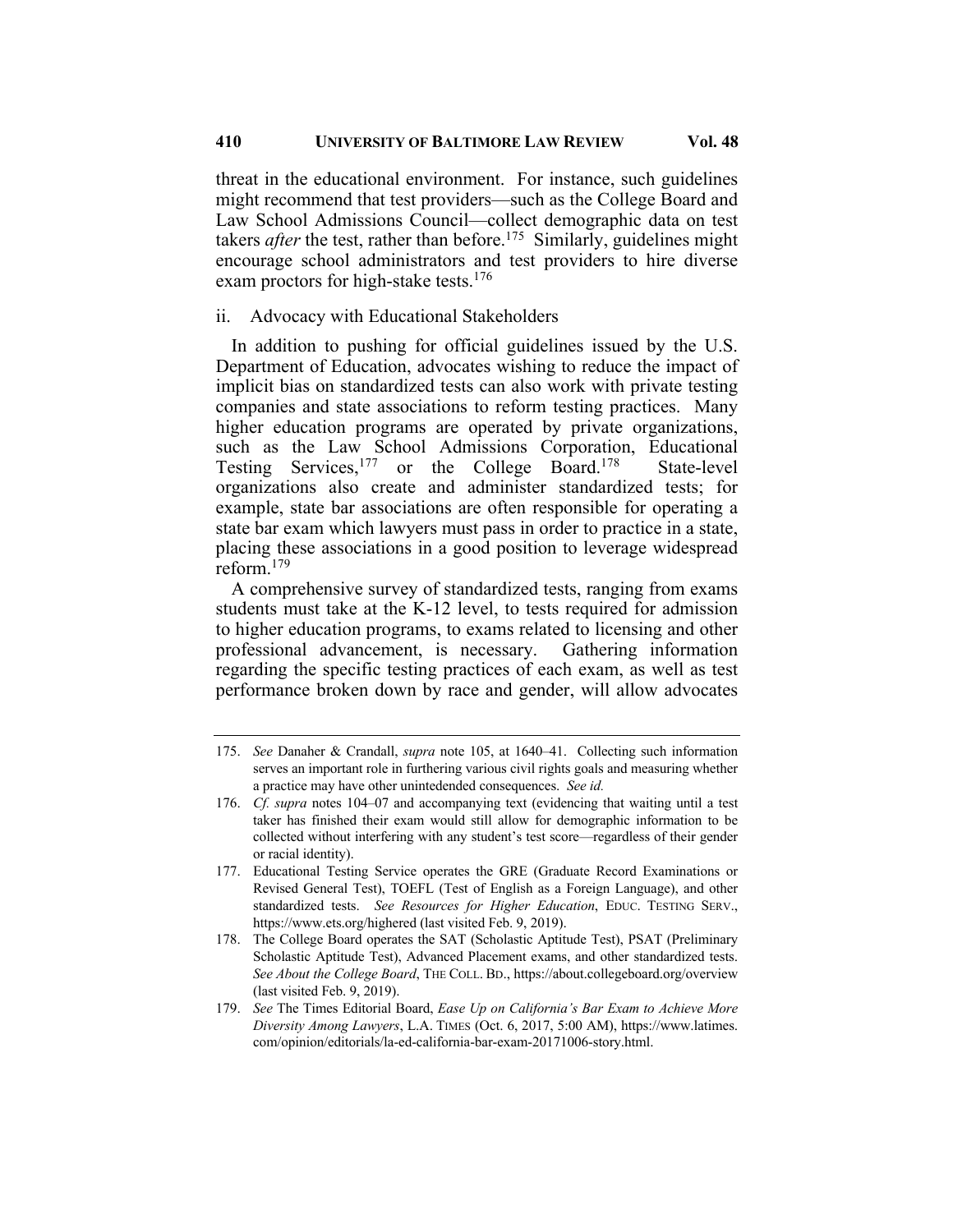threat in the educational environment. For instance, such guidelines might recommend that test providers—such as the College Board and Law School Admissions Council—collect demographic data on test takers *after* the test, rather than before.<sup>175</sup> Similarly, guidelines might encourage school administrators and test providers to hire diverse exam proctors for high-stake tests.<sup>176</sup>

#### ii. Advocacy with Educational Stakeholders

In addition to pushing for official guidelines issued by the U.S. Department of Education, advocates wishing to reduce the impact of implicit bias on standardized tests can also work with private testing companies and state associations to reform testing practices. Many higher education programs are operated by private organizations, such as the Law School Admissions Corporation, Educational Testing Services,<sup>177</sup> or the College Board.<sup>178</sup> State-level organizations also create and administer standardized tests; for example, state bar associations are often responsible for operating a state bar exam which lawyers must pass in order to practice in a state, placing these associations in a good position to leverage widespread reform.179

A comprehensive survey of standardized tests, ranging from exams students must take at the K-12 level, to tests required for admission to higher education programs, to exams related to licensing and other professional advancement, is necessary. Gathering information regarding the specific testing practices of each exam, as well as test performance broken down by race and gender, will allow advocates

- 178. The College Board operates the SAT (Scholastic Aptitude Test), PSAT (Preliminary Scholastic Aptitude Test), Advanced Placement exams, and other standardized tests. *See About the College Board*, THE COLL. BD., https://about.collegeboard.org/overview (last visited Feb. 9, 2019).
- 179. *See* The Times Editorial Board, *Ease Up on California's Bar Exam to Achieve More Diversity Among Lawyers*, L.A. TIMES (Oct. 6, 2017, 5:00 AM), https://www.latimes. com/opinion/editorials/la-ed-california-bar-exam-20171006-story.html.

<sup>175.</sup> *See* Danaher & Crandall, *supra* note 105, at 1640–41. Collecting such information serves an important role in furthering various civil rights goals and measuring whether a practice may have other unintedended consequences. *See id.*

<sup>176.</sup> *Cf. supra* notes 104–07 and accompanying text (evidencing that waiting until a test taker has finished their exam would still allow for demographic information to be collected without interfering with any student's test score—regardless of their gender or racial identity).

<sup>177.</sup> Educational Testing Service operates the GRE (Graduate Record Examinations or Revised General Test), TOEFL (Test of English as a Foreign Language), and other standardized tests. *See Resources for Higher Education*, EDUC. TESTING SERV., https://www.ets.org/highered (last visited Feb. 9, 2019).